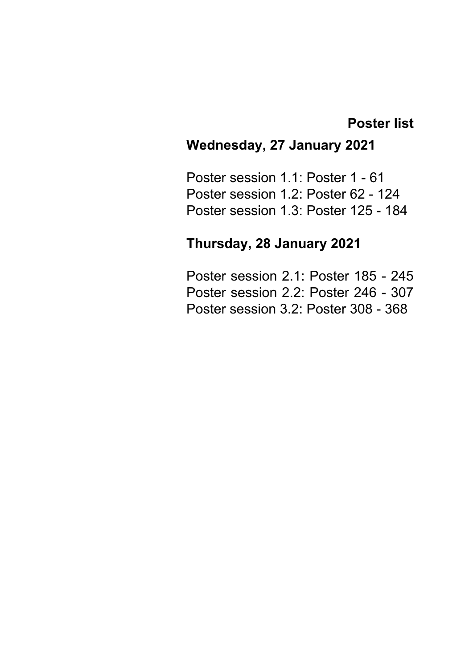## **Poster list**

# **Wednesday, 27 January 2021**

Poster session 1.1: Poster 1 - 61 Poster session 1.2: Poster 62 - 124 Poster session 1.3: Poster 125 - 184

# **Thursday, 28 January 2021**

Poster session 2.1: Poster 185 - 245 Poster session 2.2: Poster 246 - 307 Poster session 3.2: Poster 308 - 368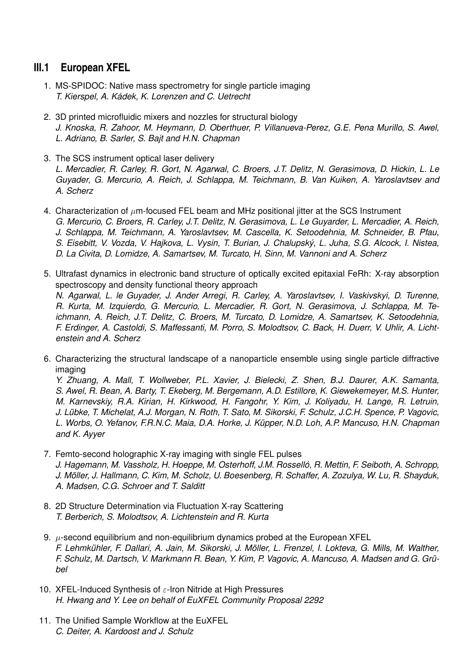## **III.1 European XFEL**

- 1. MS-SPIDOC: Native mass spectrometry for single particle imaging *T. Kierspel, A. Kádek, K. Lorenzen and C. Uetrecht*
- 2. 3D printed microfluidic mixers and nozzles for structural biology *J. Knoska, R. Zahoor, M. Heymann, D. Oberthuer, P. Villanueva-Perez, G.E. Pena Murillo, S. Awel, L. Adriano, B. Sarler, S. Bajt and H.N. Chapman*
- 3. The SCS instrument optical laser delivery *L. Mercadier, R. Carley, R. Gort, N. Agarwal, C. Broers, J.T. Delitz, N. Gerasimova, D. Hickin, L. Le Guyader, G. Mercurio, A. Reich, J. Schlappa, M. Teichmann, B. Van Kuiken, A. Yaroslavtsev and A. Scherz*
- 4. Characterization of  $\mu$ m-focused FEL beam and MHz positional jitter at the SCS Instrument *G. Mercurio, C. Broers, R. Carley, J.T. Delitz, N. Gerasimova, L. Le Guyarder, L. Mercadier, A. Reich, J. Schlappa, M. Teichmann, A. Yaroslavtsev, M. Cascella, K. Setoodehnia, M. Schneider, B. Pfau, S. Eisebitt, V. Vozda, V. Hajkova, L. Vysin, T. Burian, J. Chalupský, L. Juha, S.G. Alcock, I. Nistea, D. La Civita, D. Lomidze, A. Samartsev, M. Turcato, H. Sinn, M. Vannoni and A. Scherz*
- 5. Ultrafast dynamics in electronic band structure of optically excited epitaxial FeRh: X-ray absorption spectroscopy and density functional theory approach *N. Agarwal, L. le Guyader, J. Ander Arregi, R. Carley, A. Yaroslavtsev, I. Vaskivskyi, D. Turenne, R. Kurta, M. Izquierdo, G. Mercurio, L. Mercadier, R. Gort, N. Gerasimova, J. Schlappa, M. Teichmann, A. Reich, J.T. Delitz, C. Broers, M. Turcato, D. Lomidze, A. Samartsev, K. Setoodehnia, F. Erdinger, A. Castoldi, S. Maffessanti, M. Porro, S. Molodtsov, C. Back, H. Duerr, V. Uhlir, A. Lichtenstein and A. Scherz*
- 6. Characterizing the structural landscape of a nanoparticle ensemble using single particle diffractive imaging

*Y. Zhuang, A. Mall, T. Wollweber, P.L. Xavier, J. Bielecki, Z. Shen, B.J. Daurer, A.K. Samanta, S. Awel, R. Bean, A. Barty, T. Ekeberg, M. Bergemann, A.D. Estillore, K. Giewekemeyer, M.S. Hunter, M. Karnevskiy, R.A. Kirian, H. Kirkwood, H. Fangohr, Y. Kim, J. Koliyadu, H. Lange, R. Letruin, J. Lübke, T. Michelat, A.J. Morgan, N. Roth, T. Sato, M. Sikorski, F. Schulz, J.C.H. Spence, P. Vagovic, L. Worbs, O. Yefanov, F.R.N.C. Maia, D.A. Horke, J. Küpper, N.D. Loh, A.P. Mancuso, H.N. Chapman and K. Ayyer*

- 7. Femto-second holographic X-ray imaging with single FEL pulses *J. Hagemann, M. Vassholz, H. Hoeppe, M. Osterhoff, J.M. Rosselló, R. Mettin, F. Seiboth, A. Schropp, J. Möller, J. Hallmann, C. Kim, M. Scholz, U. Boesenberg, R. Schaffer, A. Zozulya, W. Lu, R. Shayduk, A. Madsen, C.G. Schroer and T. Salditt*
- 8. 2D Structure Determination via Fluctuation X-ray Scattering *T. Berberich, S. Molodtsov, A. Lichtenstein and R. Kurta*
- 9.  $\mu$ -second equilibrium and non-equilibrium dynamics probed at the European XFEL *F. Lehmkühler, F. Dallari, A. Jain, M. Sikorski, J. Möller, L. Frenzel, I. Lokteva, G. Mills, M. Walther, F. Schulz, M. Dartsch, V. Markmann R. Bean, Y. Kim, P. Vagovic, A. Mancuso, A. Madsen and G. Grübel*
- 10. XFEL-Induced Synthesis of  $\varepsilon$ -Iron Nitride at High Pressures *H. Hwang and Y. Lee on behalf of EuXFEL Community Proposal 2292*
- 11. The Unified Sample Workflow at the EuXFEL *C. Deiter, A. Kardoost and J. Schulz*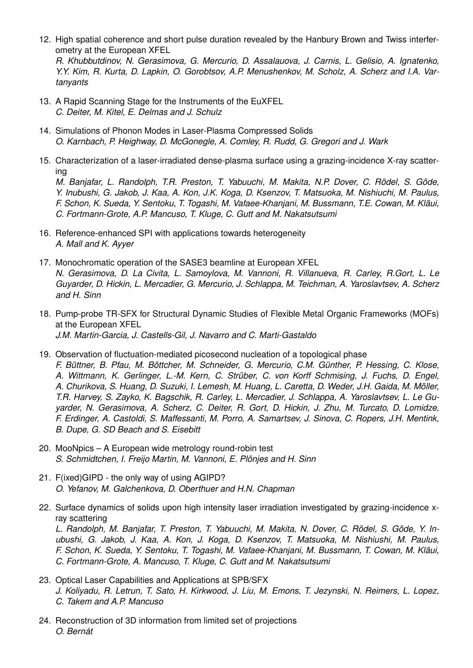12. High spatial coherence and short pulse duration revealed by the Hanbury Brown and Twiss interferometry at the European XFEL

*R. Khubbutdinov, N. Gerasimova, G. Mercurio, D. Assalauova, J. Carnis, L. Gelisio, A. Ignatenko, Y.Y. Kim, R. Kurta, D. Lapkin, O. Gorobtsov, A.P. Menushenkov, M. Scholz, A. Scherz and I.A. Vartanyants*

- 13. A Rapid Scanning Stage for the Instruments of the EuXFEL *C. Deiter, M. Kitel, E. Delmas and J. Schulz*
- 14. Simulations of Phonon Modes in Laser-Plasma Compressed Solids *O. Karnbach, P. Heighway, D. McGonegle, A. Comley, R. Rudd, G. Gregori and J. Wark*
- 15. Characterization of a laser-irradiated dense-plasma surface using a grazing-incidence X-ray scattering

*M. Banjafar, L. Randolph, T.R. Preston, T. Yabuuchi, M. Makita, N.P. Dover, C. Rödel, S. Göde, Y. Inubushi, G. Jakob, J. Kaa, A. Kon, J.K. Koga, D. Ksenzov, T. Matsuoka, M. Nishiuchi, M. Paulus, F. Schon, K. Sueda, Y. Sentoku, T. Togashi, M. Vafaee-Khanjani, M. Bussmann, T.E. Cowan, M. Kläui, C. Fortmann-Grote, A.P. Mancuso, T. Kluge, C. Gutt and M. Nakatsutsumi*

- 16. Reference-enhanced SPI with applications towards heterogeneity *A. Mall and K. Ayyer*
- 17. Monochromatic operation of the SASE3 beamline at European XFEL *N. Gerasimova, D. La Civita, L. Samoylova, M. Vannoni, R. Villanueva, R. Carley, R.Gort, L. Le Guyarder, D. Hickin, L. Mercadier, G. Mercurio, J. Schlappa, M. Teichman, A. Yaroslavtsev, A. Scherz and H. Sinn*
- 18. Pump-probe TR-SFX for Structural Dynamic Studies of Flexible Metal Organic Frameworks (MOFs) at the European XFEL *J.M. Martin-Garcia, J. Castells-Gil, J. Navarro and C. Marti-Gastaldo*
- 19. Observation of fluctuation-mediated picosecond nucleation of a topological phase *F. Büttner, B. Pfau, M. Böttcher, M. Schneider, G. Mercurio, C.M. Günther, P. Hessing, C. Klose, A. Wittmann, K. Gerlinger, L.-M. Kern, C. Strüber, C. von Korff Schmising, J. Fuchs, D. Engel, A. Churikova, S. Huang, D. Suzuki, I. Lemesh, M. Huang, L. Caretta, D. Weder, J.H. Gaida, M. Möller, T.R. Harvey, S. Zayko, K. Bagschik, R. Carley, L. Mercadier, J. Schlappa, A. Yaroslavtsev, L. Le Guyarder, N. Gerasimova, A. Scherz, C. Deiter, R. Gort, D. Hickin, J. Zhu, M. Turcato, D. Lomidze, F. Erdinger, A. Castoldi, S. Maffessanti, M. Porro, A. Samartsev, J. Sinova, C. Ropers, J.H. Mentink, B. Dupe, G. SD Beach and S. Eisebitt*
- 20. MooNpics A European wide metrology round-robin test *S. Schmidtchen, I. Freijo Martin, M. Vannoni, E. Plönjes and H. Sinn*
- 21. F(ixed)GIPD the only way of using AGIPD? *O. Yefanov, M. Galchenkova, D. Oberthuer and H.N. Chapman*
- 22. Surface dynamics of solids upon high intensity laser irradiation investigated by grazing-incidence xray scattering

*L. Randolph, M. Banjafar, T. Preston, T. Yabuuchi, M. Makita, N. Dover, C. Rödel, S. Göde, Y. Inubushi, G. Jakob, J. Kaa, A. Kon, J. Koga, D. Ksenzov, T. Matsuoka, M. Nishiushi, M. Paulus, F. Schon, K. Sueda, Y. Sentoku, T. Togashi, M. Vafaee-Khanjani, M. Bussmann, T. Cowan, M. Kläui, C. Fortmann-Grote, A. Mancuso, T. Kluge, C. Gutt and M. Nakatsutsumi*

- 23. Optical Laser Capabilities and Applications at SPB/SFX *J. Koliyadu, R. Letrun, T. Sato, H. Kirkwood, J. Liu, M. Emons, T. Jezynski, N. Reimers, L. Lopez, C. Takem and A.P. Mancuso*
- 24. Reconstruction of 3D information from limited set of projections *O. Bernát*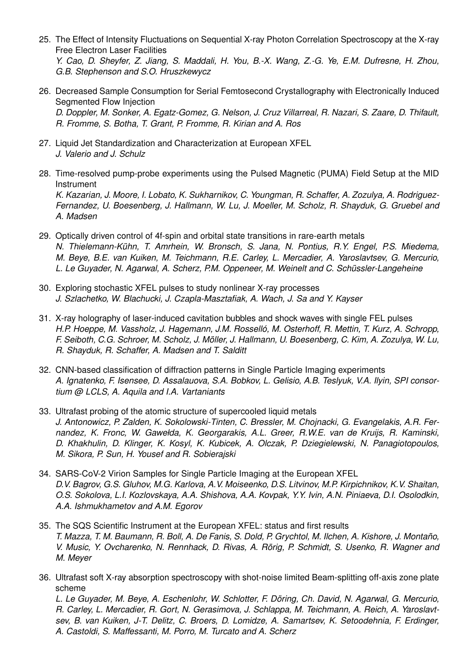- 25. The Effect of Intensity Fluctuations on Sequential X-ray Photon Correlation Spectroscopy at the X-ray Free Electron Laser Facilities *Y. Cao, D. Sheyfer, Z. Jiang, S. Maddali, H. You, B.-X. Wang, Z.-G. Ye, E.M. Dufresne, H. Zhou, G.B. Stephenson and S.O. Hruszkewycz*
- 26. Decreased Sample Consumption for Serial Femtosecond Crystallography with Electronically Induced Segmented Flow Injection *D. Doppler, M. Sonker, A. Egatz-Gomez, G. Nelson, J. Cruz Villarreal, R. Nazari, S. Zaare, D. Thifault, R. Fromme, S. Botha, T. Grant, P. Fromme, R. Kirian and A. Ros*
- 27. Liquid Jet Standardization and Characterization at European XFEL *J. Valerio and J. Schulz*
- 28. Time-resolved pump-probe experiments using the Pulsed Magnetic (PUMA) Field Setup at the MID Instrument *K. Kazarian, J. Moore, I. Lobato, K. Sukharnikov, C. Youngman, R. Schaffer, A. Zozulya, A. Rodriguez-Fernandez, U. Boesenberg, J. Hallmann, W. Lu, J. Moeller, M. Scholz, R. Shayduk, G. Gruebel and A. Madsen*
- 29. Optically driven control of 4f-spin and orbital state transitions in rare-earth metals *N. Thielemann-Kühn, T. Amrhein, W. Bronsch, S. Jana, N. Pontius, R.Y. Engel, P.S. Miedema, M. Beye, B.E. van Kuiken, M. Teichmann, R.E. Carley, L. Mercadier, A. Yaroslavtsev, G. Mercurio, L. Le Guyader, N. Agarwal, A. Scherz, P.M. Oppeneer, M. Weinelt and C. Schüssler-Langeheine*
- 30. Exploring stochastic XFEL pulses to study nonlinear X-ray processes *J. Szlachetko, W. Blachucki, J. Czapla-Masztafiak, A. Wach, J. Sa and Y. Kayser*
- 31. X-ray holography of laser-induced cavitation bubbles and shock waves with single FEL pulses *H.P. Hoeppe, M. Vassholz, J. Hagemann, J.M. Rosselló, M. Osterhoff, R. Mettin, T. Kurz, A. Schropp, F. Seiboth, C.G. Schroer, M. Scholz, J. Möller, J. Hallmann, U. Boesenberg, C. Kim, A. Zozulya, W. Lu, R. Shayduk, R. Schaffer, A. Madsen and T. Salditt*
- 32. CNN-based classification of diffraction patterns in Single Particle Imaging experiments *A. Ignatenko, F. Isensee, D. Assalauova, S.A. Bobkov, L. Gelisio, A.B. Teslyuk, V.A. Ilyin, SPI consortium @ LCLS, A. Aquila and I.A. Vartaniants*
- 33. Ultrafast probing of the atomic structure of supercooled liquid metals *J. Antonowicz, P. Zalden, K. Sokolowski-Tinten, C. Bressler, M. Chojnacki, G. Evangelakis, A.R. Fernandez, K. Fronc, W. Gawełda, K. Georgarakis, A.L. Greer, R.W.E. van de Kruijs, R. Kaminski, D. Khakhulin, D. Klinger, K. Kosyl, K. Kubicek, A. Olczak, P. Dziegielewski, N. Panagiotopoulos, M. Sikora, P. Sun, H. Yousef and R. Sobierajski*
- 34. SARS-CoV-2 Virion Samples for Single Particle Imaging at the European XFEL *D.V. Bagrov, G.S. Gluhov, M.G. Karlova, A.V. Moiseenko, D.S. Litvinov, M.P. Kirpichnikov, K.V. Shaitan, O.S. Sokolova, L.I. Kozlovskaya, A.A. Shishova, A.A. Kovpak, Y.Y. Ivin, A.N. Piniaeva, D.I. Osolodkin, A.A. Ishmukhametov and A.M. Egorov*
- 35. The SQS Scientific Instrument at the European XFEL: status and first results *T. Mazza, T. M. Baumann, R. Boll, A. De Fanis, S. Dold, P. Grychtol, M. Ilchen, A. Kishore, J. Montaño, V. Music, Y. Ovcharenko, N. Rennhack, D. Rivas, A. Rörig, P. Schmidt, S. Usenko, R. Wagner and M. Meyer*
- 36. Ultrafast soft X-ray absorption spectroscopy with shot-noise limited Beam-splitting off-axis zone plate scheme

*L. Le Guyader, M. Beye, A. Eschenlohr, W. Schlotter, F. Döring, Ch. David, N. Agarwal, G. Mercurio, R. Carley, L. Mercadier, R. Gort, N. Gerasimova, J. Schlappa, M. Teichmann, A. Reich, A. Yaroslavtsev, B. van Kuiken, J-T. Delitz, C. Broers, D. Lomidze, A. Samartsev, K. Setoodehnia, F. Erdinger, A. Castoldi, S. Maffessanti, M. Porro, M. Turcato and A. Scherz*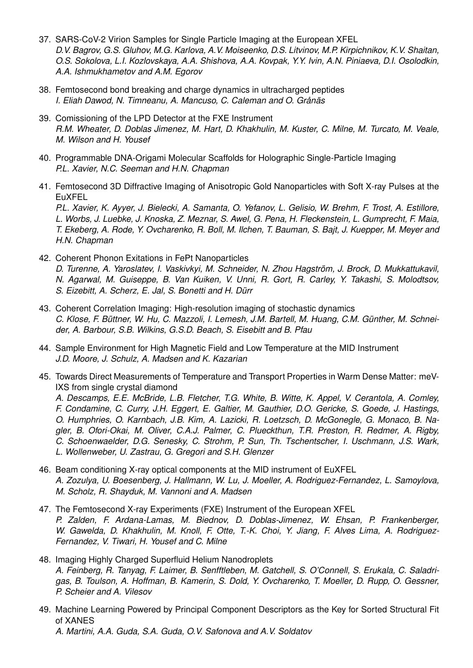- 37. SARS-CoV-2 Virion Samples for Single Particle Imaging at the European XFEL *D.V. Bagrov, G.S. Gluhov, M.G. Karlova, A.V. Moiseenko, D.S. Litvinov, M.P. Kirpichnikov, K.V. Shaitan, O.S. Sokolova, L.I. Kozlovskaya, A.A. Shishova, A.A. Kovpak, Y.Y. Ivin, A.N. Piniaeva, D.I. Osolodkin, A.A. Ishmukhametov and A.M. Egorov*
- 38. Femtosecond bond breaking and charge dynamics in ultracharged peptides *I. Eliah Dawod, N. Timneanu, A. Mancuso, C. Caleman and O. Grånäs*
- 39. Comissioning of the LPD Detector at the FXE Instrument *R.M. Wheater, D. Doblas Jimenez, M. Hart, D. Khakhulin, M. Kuster, C. Milne, M. Turcato, M. Veale, M. Wilson and H. Yousef*
- 40. Programmable DNA-Origami Molecular Scaffolds for Holographic Single-Particle Imaging *P.L. Xavier, N.C. Seeman and H.N. Chapman*
- 41. Femtosecond 3D Diffractive Imaging of Anisotropic Gold Nanoparticles with Soft X-ray Pulses at the EuXFEL

*P.L. Xavier, K. Ayyer, J. Bielecki, A. Samanta, O. Yefanov, L. Gelisio, W. Brehm, F. Trost, A. Estillore, L. Worbs, J. Luebke, J. Knoska, Z. Meznar, S. Awel, G. Pena, H. Fleckenstein, L. Gumprecht, F. Maia, T. Ekeberg, A. Rode, Y. Ovcharenko, R. Boll, M. Ilchen, T. Bauman, S. Bajt, J. Kuepper, M. Meyer and H.N. Chapman*

- 42. Coherent Phonon Exitations in FePt Nanoparticles *D. Turenne, A. Yaroslatev, I. Vaskivkyi, M. Schneider, N. Zhou Hagström, J. Brock, D. Mukkattukavil, N. Agarwal, M. Guiseppe, B. Van Kuiken, V. Unni, R. Gort, R. Carley, Y. Takashi, S. Molodtsov, S. Eizebitt, A. Scherz, E. Jal, S. Bonetti and H. Dürr*
- 43. Coherent Correlation Imaging: High-resolution imaging of stochastic dynamics *C. Klose, F. Büttner, W. Hu, C. Mazzoli, I. Lemesh, J.M. Bartell, M. Huang, C.M. Günther, M. Schneider, A. Barbour, S.B. Wilkins, G.S.D. Beach, S. Eisebitt and B. Pfau*
- 44. Sample Environment for High Magnetic Field and Low Temperature at the MID Instrument *J.D. Moore, J. Schulz, A. Madsen and K. Kazarian*
- 45. Towards Direct Measurements of Temperature and Transport Properties in Warm Dense Matter: meV-IXS from single crystal diamond

*A. Descamps, E.E. McBride, L.B. Fletcher, T.G. White, B. Witte, K. Appel, V. Cerantola, A. Comley, F. Condamine, C. Curry, J.H. Eggert, E. Galtier, M. Gauthier, D.O. Gericke, S. Goede, J. Hastings, O. Humphries, O. Karnbach, J.B. Kim, A. Lazicki, R. Loetzsch, D. McGonegle, G. Monaco, B. Nagler, B. Ofori-Okai, M. Oliver, C.A.J. Palmer, C. Plueckthun, T.R. Preston, R. Redmer, A. Rigby, C. Schoenwaelder, D.G. Senesky, C. Strohm, P. Sun, Th. Tschentscher, I. Uschmann, J.S. Wark, L. Wollenweber, U. Zastrau, G. Gregori and S.H. Glenzer*

- 46. Beam conditioning X-ray optical components at the MID instrument of EuXFEL *A. Zozulya, U. Boesenberg, J. Hallmann, W. Lu, J. Moeller, A. Rodriguez-Fernandez, L. Samoylova, M. Scholz, R. Shayduk, M. Vannoni and A. Madsen*
- 47. The Femtosecond X-ray Experiments (FXE) Instrument of the European XFEL *P. Zalden, F. Ardana-Lamas, M. Biednov, D. Doblas-Jimenez, W. Ehsan, P. Frankenberger, W. Gawelda, D. Khakhulin, M. Knoll, F. Otte, T.-K. Choi, Y. Jiang, F. Alves Lima, A. Rodriguez-Fernandez, V. Tiwari, H. Yousef and C. Milne*
- 48. Imaging Highly Charged Superfluid Helium Nanodroplets *A. Feinberg, R. Tanyag, F. Laimer, B. Senfftleben, M. Gatchell, S. O'Connell, S. Erukala, C. Saladrigas, B. Toulson, A. Hoffman, B. Kamerin, S. Dold, Y. Ovcharenko, T. Moeller, D. Rupp, O. Gessner, P. Scheier and A. Vilesov*
- 49. Machine Learning Powered by Principal Component Descriptors as the Key for Sorted Structural Fit of XANES *A. Martini, A.A. Guda, S.A. Guda, O.V. Safonova and A.V. Soldatov*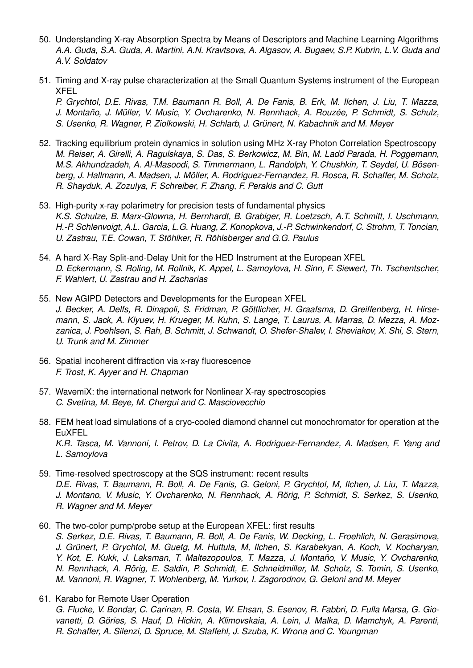- 50. Understanding X-ray Absorption Spectra by Means of Descriptors and Machine Learning Algorithms *A.A. Guda, S.A. Guda, A. Martini, A.N. Kravtsova, A. Algasov, A. Bugaev, S.P. Kubrin, L.V. Guda and A.V. Soldatov*
- 51. Timing and X-ray pulse characterization at the Small Quantum Systems instrument of the European XFEL

*P. Grychtol, D.E. Rivas, T.M. Baumann R. Boll, A. De Fanis, B. Erk, M. Ilchen, J. Liu, T. Mazza, J. Montaño, J. Müller, V. Music, Y. Ovcharenko, N. Rennhack, A. Rouzée, P. Schmidt, S. Schulz, S. Usenko, R. Wagner, P. Ziolkowski, H. Schlarb, J. Grünert, N. Kabachnik and M. Meyer*

- 52. Tracking equilibrium protein dynamics in solution using MHz X-ray Photon Correlation Spectroscopy *M. Reiser, A. Girelli, A. Ragulskaya, S. Das, S. Berkowicz, M. Bin, M. Ladd Parada, H. Poggemann, M.S. Akhundzadeh, A. Al-Masoodi, S. Timmermann, L. Randolph, Y. Chushkin, T. Seydel, U. Bösenberg, J. Hallmann, A. Madsen, J. Möller, A. Rodriguez-Fernandez, R. Rosca, R. Schaffer, M. Scholz, R. Shayduk, A. Zozulya, F. Schreiber, F. Zhang, F. Perakis and C. Gutt*
- 53. High-purity x-ray polarimetry for precision tests of fundamental physics *K.S. Schulze, B. Marx-Glowna, H. Bernhardt, B. Grabiger, R. Loetzsch, A.T. Schmitt, I. Uschmann, H.-P. Schlenvoigt, A.L. Garcia, L.G. Huang, Z. Konopkova, J.-P. Schwinkendorf, C. Strohm, T. Toncian, U. Zastrau, T.E. Cowan, T. Stöhlker, R. Röhlsberger and G.G. Paulus*
- 54. A hard X-Ray Split-and-Delay Unit for the HED Instrument at the European XFEL *D. Eckermann, S. Roling, M. Rollnik, K. Appel, L. Samoylova, H. Sinn, F. Siewert, Th. Tschentscher, F. Wahlert, U. Zastrau and H. Zacharias*
- 55. New AGIPD Detectors and Developments for the European XFEL *J. Becker, A. Delfs, R. Dinapoli, S. Fridman, P. Göttlicher, H. Graafsma, D. Greiffenberg, H. Hirsemann, S. Jack, A. Klyuev, H. Krueger, M. Kuhn, S. Lange, T. Laurus, A. Marras, D. Mezza, A. Mozzanica, J. Poehlsen, S. Rah, B. Schmitt, J. Schwandt, O. Shefer-Shalev, I. Sheviakov, X. Shi, S. Stern, U. Trunk and M. Zimmer*
- 56. Spatial incoherent diffraction via x-ray fluorescence *F. Trost, K. Ayyer and H. Chapman*
- 57. WavemiX: the international network for Nonlinear X-ray spectroscopies *C. Svetina, M. Beye, M. Chergui and C. Masciovecchio*
- 58. FEM heat load simulations of a cryo-cooled diamond channel cut monochromator for operation at the EuXFEL *K.R. Tasca, M. Vannoni, I. Petrov, D. La Civita, A. Rodriguez-Fernandez, A. Madsen, F. Yang and L. Samoylova*
- 59. Time-resolved spectroscopy at the SQS instrument: recent results *D.E. Rivas, T. Baumann, R. Boll, A. De Fanis, G. Geloni, P. Grychtol, M, Ilchen, J. Liu, T. Mazza, J. Montano, V. Music, Y. Ovcharenko, N. Rennhack, A. Rörig, P. Schmidt, S. Serkez, S. Usenko, R. Wagner and M. Meyer*
- 60. The two-color pump/probe setup at the European XFEL: first results *S. Serkez, D.E. Rivas, T. Baumann, R. Boll, A. De Fanis, W. Decking, L. Froehlich, N. Gerasimova, J. Grünert, P. Grychtol, M. Guetg, M. Huttula, M, Ilchen, S. Karabekyan, A. Koch, V. Kocharyan, Y. Kot, E. Kukk, J. Laksman, T. Maltezopoulos, T. Mazza, J. Montaño, V. Music, Y. Ovcharenko, N. Rennhack, A. Rörig, E. Saldin, P. Schmidt, E. Schneidmiller, M. Scholz, S. Tomin, S. Usenko, M. Vannoni, R. Wagner, T. Wohlenberg, M. Yurkov, I. Zagorodnov, G. Geloni and M. Meyer*
- 61. Karabo for Remote User Operation

*G. Flucke, V. Bondar, C. Carinan, R. Costa, W. Ehsan, S. Esenov, R. Fabbri, D. Fulla Marsa, G. Giovanetti, D. Göries, S. Hauf, D. Hickin, A. Klimovskaia, A. Lein, J. Malka, D. Mamchyk, A. Parenti, R. Schaffer, A. Silenzi, D. Spruce, M. Staffehl, J. Szuba, K. Wrona and C. Youngman*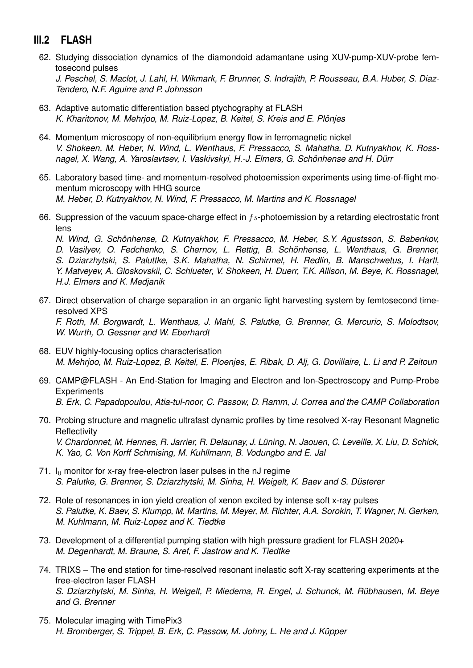## **III.2 FLASH**

62. Studying dissociation dynamics of the diamondoid adamantane using XUV-pump-XUV-probe femtosecond pulses

*J. Peschel, S. Maclot, J. Lahl, H. Wikmark, F. Brunner, S. Indrajith, P. Rousseau, B.A. Huber, S. Diaz-Tendero, N.F. Aguirre and P. Johnsson*

- 63. Adaptive automatic differentiation based ptychography at FLASH *K. Kharitonov, M. Mehrjoo, M. Ruiz-Lopez, B. Keitel, S. Kreis and E. Plönjes*
- 64. Momentum microscopy of non-equilibrium energy flow in ferromagnetic nickel *V. Shokeen, M. Heber, N. Wind, L. Wenthaus, F. Pressacco, S. Mahatha, D. Kutnyakhov, K. Rossnagel, X. Wang, A. Yaroslavtsev, I. Vaskivskyi, H.-J. Elmers, G. Schönhense and H. Dürr*
- 65. Laboratory based time- and momentum-resolved photoemission experiments using time-of-flight momentum microscopy with HHG source *M. Heber, D. Kutnyakhov, N. Wind, F. Pressacco, M. Martins and K. Rossnagel*
- 66. Suppression of the vacuum space-charge effect in  $fs$ -photoemission by a retarding electrostatic front lens

*N. Wind, G. Schönhense, D. Kutnyakhov, F. Pressacco, M. Heber, S.Y. Agustsson, S. Babenkov, D. Vasilyev, O. Fedchenko, S. Chernov, L. Rettig, B. Schönhense, L. Wenthaus, G. Brenner, S. Dziarzhytski, S. Paluttke, S.K. Mahatha, N. Schirmel, H. Redlin, B. Manschwetus, I. Hartl, Y. Matveyev, A. Gloskovskii, C. Schlueter, V. Shokeen, H. Duerr, T.K. Allison, M. Beye, K. Rossnagel, H.J. Elmers and K. Medjanik*

- 67. Direct observation of charge separation in an organic light harvesting system by femtosecond timeresolved XPS *F. Roth, M. Borgwardt, L. Wenthaus, J. Mahl, S. Palutke, G. Brenner, G. Mercurio, S. Molodtsov, W. Wurth, O. Gessner and W. Eberhardt*
- 68. EUV highly-focusing optics characterisation *M. Mehrjoo, M. Ruiz-Lopez, B. Keitel, E. Ploenjes, E. Ribak, D. Alj, G. Dovillaire, L. Li and P. Zeitoun*
- 69. CAMP@FLASH An End-Station for Imaging and Electron and Ion-Spectroscopy and Pump-Probe **Experiments** *B. Erk, C. Papadopoulou, Atia-tul-noor, C. Passow, D. Ramm, J. Correa and the CAMP Collaboration*
- 70. Probing structure and magnetic ultrafast dynamic profiles by time resolved X-ray Resonant Magnetic **Reflectivity** *V. Chardonnet, M. Hennes, R. Jarrier, R. Delaunay, J. Lüning, N. Jaouen, C. Leveille, X. Liu, D. Schick, K. Yao, C. Von Korff Schmising, M. Kuhllmann, B. Vodungbo and E. Jal*
- 71.  $I_0$  monitor for x-ray free-electron laser pulses in the nJ regime *S. Palutke, G. Brenner, S. Dziarzhytski, M. Sinha, H. Weigelt, K. Baev and S. Düsterer*
- 72. Role of resonances in ion yield creation of xenon excited by intense soft x-ray pulses *S. Palutke, K. Baev, S. Klumpp, M. Martins, M. Meyer, M. Richter, A.A. Sorokin, T. Wagner, N. Gerken, M. Kuhlmann, M. Ruiz-Lopez and K. Tiedtke*
- 73. Development of a differential pumping station with high pressure gradient for FLASH 2020+ *M. Degenhardt, M. Braune, S. Aref, F. Jastrow and K. Tiedtke*
- 74. TRIXS The end station for time-resolved resonant inelastic soft X-ray scattering experiments at the free-electron laser FLASH *S. Dziarzhytski, M. Sinha, H. Weigelt, P. Miedema, R. Engel, J. Schunck, M. Rübhausen, M. Beye and G. Brenner*
- 75. Molecular imaging with TimePix3 *H. Bromberger, S. Trippel, B. Erk, C. Passow, M. Johny, L. He and J. Küpper*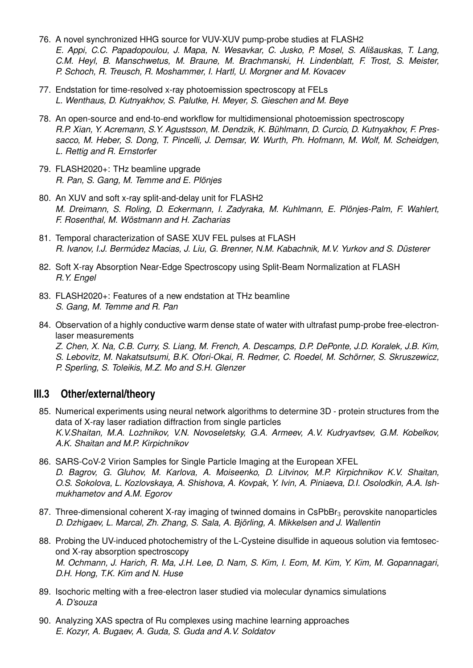- 76. A novel synchronized HHG source for VUV-XUV pump-probe studies at FLASH2 *E. Appi, C.C. Papadopoulou, J. Mapa, N. Wesavkar, C. Jusko, P. Mosel, S. Ališauskas, T. Lang, C.M. Heyl, B. Manschwetus, M. Braune, M. Brachmanski, H. Lindenblatt, F. Trost, S. Meister, P. Schoch, R. Treusch, R. Moshammer, I. Hartl, U. Morgner and M. Kovacev*
- 77. Endstation for time-resolved x-ray photoemission spectroscopy at FELs *L. Wenthaus, D. Kutnyakhov, S. Palutke, H. Meyer, S. Gieschen and M. Beye*
- 78. An open-source and end-to-end workflow for multidimensional photoemission spectroscopy *R.P. Xian, Y. Acremann, S.Y. Agustsson, M. Dendzik, K. Bühlmann, D. Curcio, D. Kutnyakhov, F. Pressacco, M. Heber, S. Dong, T. Pincelli, J. Demsar, W. Wurth, Ph. Hofmann, M. Wolf, M. Scheidgen, L. Rettig and R. Ernstorfer*
- 79. FLASH2020+: THz beamline upgrade *R. Pan, S. Gang, M. Temme and E. Plönjes*
- 80. An XUV and soft x-ray split-and-delay unit for FLASH2 *M. Dreimann, S. Roling, D. Eckermann, I. Zadyraka, M. Kuhlmann, E. Plönjes-Palm, F. Wahlert, F. Rosenthal, M. Wöstmann and H. Zacharias*
- 81. Temporal characterization of SASE XUV FEL pulses at FLASH *R. Ivanov, I.J. Bermúdez Macias, J. Liu, G. Brenner, N.M. Kabachnik, M.V. Yurkov and S. Düsterer*
- 82. Soft X-ray Absorption Near-Edge Spectroscopy using Split-Beam Normalization at FLASH *R.Y. Engel*
- 83. FLASH2020+: Features of a new endstation at THz beamline *S. Gang, M. Temme and R. Pan*
- 84. Observation of a highly conductive warm dense state of water with ultrafast pump-probe free-electronlaser measurements

*Z. Chen, X. Na, C.B. Curry, S. Liang, M. French, A. Descamps, D.P. DePonte, J.D. Koralek, J.B. Kim, S. Lebovitz, M. Nakatsutsumi, B.K. Ofori-Okai, R. Redmer, C. Roedel, M. Schörner, S. Skruszewicz, P. Sperling, S. Toleikis, M.Z. Mo and S.H. Glenzer*

## **III.3 Other/external/theory**

- 85. Numerical experiments using neural network algorithms to determine 3D protein structures from the data of X-ray laser radiation diffraction from single particles *K.V.Shaitan, M.A. Lozhnikov, V.N. Novoseletsky, G.A. Armeev, A.V. Kudryavtsev, G.M. Kobelkov, A.K. Shaitan and M.P. Kirpichnikov*
- 86. SARS-CoV-2 Virion Samples for Single Particle Imaging at the European XFEL *D. Bagrov, G. Gluhov, M. Karlova, A. Moiseenko, D. Litvinov, M.P. Kirpichnikov K.V. Shaitan, O.S. Sokolova, L. Kozlovskaya, A. Shishova, A. Kovpak, Y. Ivin, A. Piniaeva, D.I. Osolodkin, A.A. Ishmukhametov and A.M. Egorov*
- 87. Three-dimensional coherent X-ray imaging of twinned domains in CsPbBr<sub>3</sub> perovskite nanoparticles *D. Dzhigaev, L. Marcal, Zh. Zhang, S. Sala, A. Björling, A. Mikkelsen and J. Wallentin*
- 88. Probing the UV-induced photochemistry of the L-Cysteine disulfide in aqueous solution via femtosecond X-ray absorption spectroscopy *M. Ochmann, J. Harich, R. Ma, J.H. Lee, D. Nam, S. Kim, I. Eom, M. Kim, Y. Kim, M. Gopannagari, D.H. Hong, T.K. Kim and N. Huse*
- 89. Isochoric melting with a free-electron laser studied via molecular dynamics simulations *A. D'souza*
- 90. Analyzing XAS spectra of Ru complexes using machine learning approaches *E. Kozyr, A. Bugaev, A. Guda, S. Guda and A.V. Soldatov*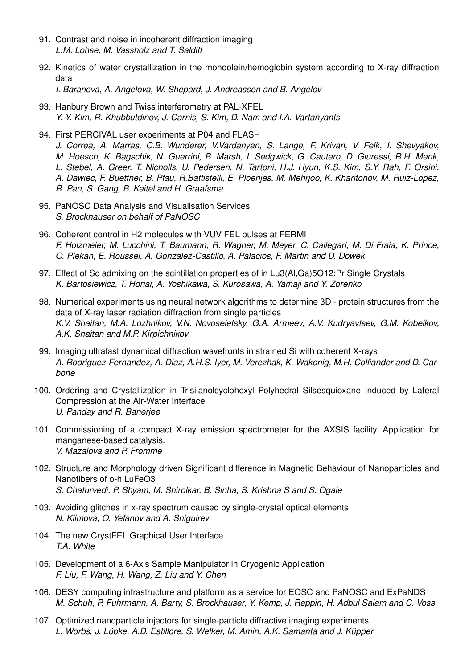- 91. Contrast and noise in incoherent diffraction imaging *L.M. Lohse, M. Vassholz and T. Salditt*
- 92. Kinetics of water crystallization in the monoolein/hemoglobin system according to X-ray diffraction data

*I. Baranova, A. Angelova, W. Shepard, J. Andreasson and B. Angelov*

- 93. Hanbury Brown and Twiss interferometry at PAL-XFEL *Y. Y. Kim, R. Khubbutdinov, J. Carnis, S. Kim, D. Nam and I.A. Vartanyants*
- 94. First PERCIVAL user experiments at P04 and FLASH *J. Correa, A. Marras, C.B. Wunderer, V.Vardanyan, S. Lange, F. Krivan, V. Felk, I. Shevyakov, M. Hoesch, K. Bagschik, N. Guerrini, B. Marsh, I. Sedgwick, G. Cautero, D. Giuressi, R.H. Menk, L. Stebel, A. Greer, T. Nicholls, U. Pedersen, N. Tartoni, H.J. Hyun, K.S. Kim, S.Y. Rah, F. Orsini, A. Dawiec, F. Buettner, B. Pfau, R.Battistelli, E. Ploenjes, M. Mehrjoo, K. Kharitonov, M. Ruiz-Lopez, R. Pan, S. Gang, B. Keitel and H. Graafsma*
- 95. PaNOSC Data Analysis and Visualisation Services *S. Brockhauser on behalf of PaNOSC*
- 96. Coherent control in H2 molecules with VUV FEL pulses at FERMI *F. Holzmeier, M. Lucchini, T. Baumann, R. Wagner, M. Meyer, C. Callegari, M. Di Fraia, K. Prince, O. Plekan, E. Roussel, A. Gonzalez-Castillo, A. Palacios, F. Martin and D. Dowek*
- 97. Effect of Sc admixing on the scintillation properties of in Lu3(Al,Ga)5O12:Pr Single Crystals *K. Bartosiewicz, T. Horiai, A. Yoshikawa, S. Kurosawa, A. Yamaji and Y. Zorenko*
- 98. Numerical experiments using neural network algorithms to determine 3D protein structures from the data of X-ray laser radiation diffraction from single particles *K.V. Shaitan, M.A. Lozhnikov, V.N. Novoseletsky, G.A. Armeev, A.V. Kudryavtsev, G.M. Kobelkov, A.K. Shaitan and M.P. Kirpichnikov*
- 99. Imaging ultrafast dynamical diffraction wavefronts in strained Si with coherent X-rays *A. Rodriguez-Fernandez, A. Diaz, A.H.S. Iyer, M. Verezhak, K. Wakonig, M.H. Colliander and D. Carbone*
- 100. Ordering and Crystallization in Trisilanolcyclohexyl Polyhedral Silsesquioxane Induced by Lateral Compression at the Air-Water Interface *U. Panday and R. Banerjee*
- 101. Commissioning of a compact X-ray emission spectrometer for the AXSIS facility. Application for manganese-based catalysis. *V. Mazalova and P. Fromme*
- 102. Structure and Morphology driven Significant difference in Magnetic Behaviour of Nanoparticles and Nanofibers of o-h LuFeO3 *S. Chaturvedi, P. Shyam, M. Shirolkar, B. Sinha, S. Krishna S and S. Ogale*
- 103. Avoiding glitches in x-ray spectrum caused by single-crystal optical elements *N. Klimova, O. Yefanov and A. Sniguirev*
- 104. The new CrystFEL Graphical User Interface *T.A. White*
- 105. Development of a 6-Axis Sample Manipulator in Cryogenic Application *F. Liu, F. Wang, H. Wang, Z. Liu and Y. Chen*
- 106. DESY computing infrastructure and platform as a service for EOSC and PaNOSC and ExPaNDS *M. Schuh, P. Fuhrmann, A. Barty, S. Brockhauser, Y. Kemp, J. Reppin, H. Adbul Salam and C. Voss*
- 107. Optimized nanoparticle injectors for single-particle diffractive imaging experiments *L. Worbs, J. Lübke, A.D. Estillore, S. Welker, M. Amin, A.K. Samanta and J. Küpper*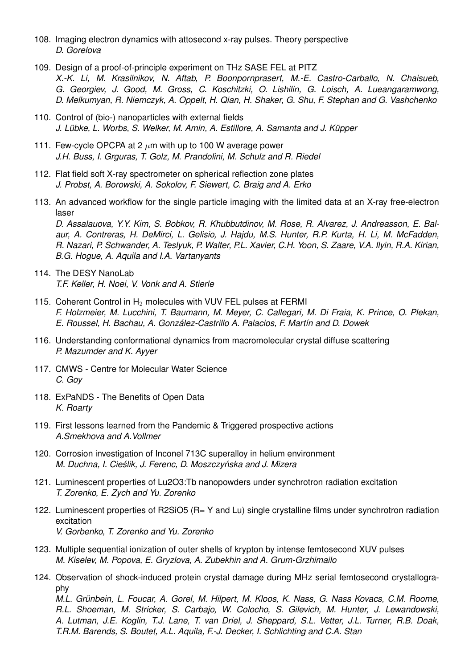- 108. Imaging electron dynamics with attosecond x-ray pulses. Theory perspective *D. Gorelova*
- 109. Design of a proof-of-principle experiment on THz SASE FEL at PITZ *X.-K. Li, M. Krasilnikov, N. Aftab, P. Boonpornprasert, M.-E. Castro-Carballo, N. Chaisueb, G. Georgiev, J. Good, M. Gross, C. Koschitzki, O. Lishilin, G. Loisch, A. Lueangaramwong, D. Melkumyan, R. Niemczyk, A. Oppelt, H. Qian, H. Shaker, G. Shu, F. Stephan and G. Vashchenko*
- 110. Control of (bio-) nanoparticles with external fields *J. Lübke, L. Worbs, S. Welker, M. Amin, A. Estillore, A. Samanta and J. Küpper*
- 111. Few-cycle OPCPA at 2  $\mu$ m with up to 100 W average power *J.H. Buss, I. Grguras, T. Golz, M. Prandolini, M. Schulz and R. Riedel*
- 112. Flat field soft X-ray spectrometer on spherical reflection zone plates *J. Probst, A. Borowski, A. Sokolov, F. Siewert, C. Braig and A. Erko*
- 113. An advanced workflow for the single particle imaging with the limited data at an X-ray free-electron laser

*D. Assalauova, Y.Y. Kim, S. Bobkov, R. Khubbutdinov, M. Rose, R. Alvarez, J. Andreasson, E. Balaur, A. Contreras, H. DeMirci, L. Gelisio, J. Hajdu, M.S. Hunter, R.P. Kurta, H. Li, M. McFadden, R. Nazari, P. Schwander, A. Teslyuk, P. Walter, P.L. Xavier, C.H. Yoon, S. Zaare, V.A. Ilyin, R.A. Kirian, B.G. Hogue, A. Aquila and I.A. Vartanyants*

- 114. The DESY NanoLab *T.F. Keller, H. Noei, V. Vonk and A. Stierle*
- 115. Coherent Control in  $H_2$  molecules with VUV FEL pulses at FERMI *F. Holzmeier, M. Lucchini, T. Baumann, M. Meyer, C. Callegari, M. Di Fraia, K. Prince, O. Plekan, E. Roussel, H. Bachau, A. González-Castrillo A. Palacios, F. Martín and D. Dowek*
- 116. Understanding conformational dynamics from macromolecular crystal diffuse scattering *P. Mazumder and K. Ayyer*
- 117. CMWS Centre for Molecular Water Science *C. Goy*
- 118. ExPaNDS The Benefits of Open Data *K. Roarty*
- 119. First lessons learned from the Pandemic & Triggered prospective actions *A.Smekhova and A.Vollmer*
- 120. Corrosion investigation of Inconel 713C superalloy in helium environment *M. Duchna, I. Cieslik, J. Ferenc, D. Moszczy ´ nska and J. Mizera ´*
- 121. Luminescent properties of Lu2O3:Tb nanopowders under synchrotron radiation excitation *T. Zorenko, E. Zych and Yu. Zorenko*
- 122. Luminescent properties of R2SiO5 (R= Y and Lu) single crystalline films under synchrotron radiation excitation *V. Gorbenko, T. Zorenko and Yu. Zorenko*
- 123. Multiple sequential ionization of outer shells of krypton by intense femtosecond XUV pulses *M. Kiselev, M. Popova, E. Gryzlova, A. Zubekhin and A. Grum-Grzhimailo*
- 124. Observation of shock-induced protein crystal damage during MHz serial femtosecond crystallography

*M.L. Grünbein, L. Foucar, A. Gorel, M. Hilpert, M. Kloos, K. Nass, G. Nass Kovacs, C.M. Roome, R.L. Shoeman, M. Stricker, S. Carbajo, W. Colocho, S. Gilevich, M. Hunter, J. Lewandowski, A. Lutman, J.E. Koglin, T.J. Lane, T. van Driel, J. Sheppard, S.L. Vetter, J.L. Turner, R.B. Doak, T.R.M. Barends, S. Boutet, A.L. Aquila, F.-J. Decker, I. Schlichting and C.A. Stan*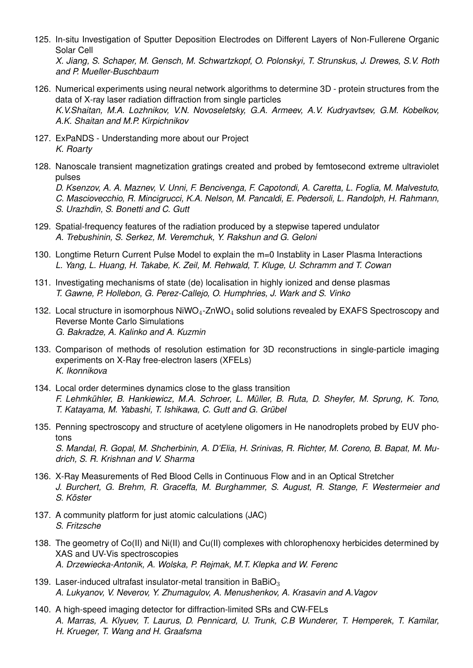125. In-situ Investigation of Sputter Deposition Electrodes on Different Layers of Non-Fullerene Organic Solar Cell

*X. Jiang, S. Schaper, M. Gensch, M. Schwartzkopf, O. Polonskyi, T. Strunskus, J. Drewes, S.V. Roth and P. Mueller-Buschbaum*

- 126. Numerical experiments using neural network algorithms to determine 3D protein structures from the data of X-ray laser radiation diffraction from single particles *K.V.Shaitan, M.A. Lozhnikov, V.N. Novoseletsky, G.A. Armeev, A.V. Kudryavtsev, G.M. Kobelkov, A.K. Shaitan and M.P. Kirpichnikov*
- 127. ExPaNDS Understanding more about our Project *K. Roarty*
- 128. Nanoscale transient magnetization gratings created and probed by femtosecond extreme ultraviolet pulses

*D. Ksenzov, A. A. Maznev, V. Unni, F. Bencivenga, F. Capotondi, A. Caretta, L. Foglia, M. Malvestuto, C. Masciovecchio, R. Mincigrucci, K.A. Nelson, M. Pancaldi, E. Pedersoli, L. Randolph, H. Rahmann, S. Urazhdin, S. Bonetti and C. Gutt*

- 129. Spatial-frequency features of the radiation produced by a stepwise tapered undulator *A. Trebushinin, S. Serkez, M. Veremchuk, Y. Rakshun and G. Geloni*
- 130. Longtime Return Current Pulse Model to explain the m=0 Instablity in Laser Plasma Interactions *L. Yang, L. Huang, H. Takabe, K. Zeil, M. Rehwald, T. Kluge, U. Schramm and T. Cowan*
- 131. Investigating mechanisms of state (de) localisation in highly ionized and dense plasmas *T. Gawne, P. Hollebon, G. Perez-Callejo, O. Humphries, J. Wark and S. Vinko*
- 132. Local structure in isomorphous  $NiWO_4$ -ZnWO<sub>4</sub> solid solutions revealed by EXAFS Spectroscopy and Reverse Monte Carlo Simulations *G. Bakradze, A. Kalinko and A. Kuzmin*
- 133. Comparison of methods of resolution estimation for 3D reconstructions in single-particle imaging experiments on X-Ray free-electron lasers (XFELs) *K. Ikonnikova*
- 134. Local order determines dynamics close to the glass transition *F. Lehmkühler, B. Hankiewicz, M.A. Schroer, L. Müller, B. Ruta, D. Sheyfer, M. Sprung, K. Tono, T. Katayama, M. Yabashi, T. Ishikawa, C. Gutt and G. Grübel*
- 135. Penning spectroscopy and structure of acetylene oligomers in He nanodroplets probed by EUV photons *S. Mandal, R. Gopal, M. Shcherbinin, A. D'Elia, H. Srinivas, R. Richter, M. Coreno, B. Bapat, M. Mudrich, S. R. Krishnan and V. Sharma*
- 136. X-Ray Measurements of Red Blood Cells in Continuous Flow and in an Optical Stretcher *J. Burchert, G. Brehm, R. Graceffa, M. Burghammer, S. August, R. Stange, F. Westermeier and S. Köster*
- 137. A community platform for just atomic calculations (JAC) *S. Fritzsche*
- 138. The geometry of Co(II) and Ni(II) and Cu(II) complexes with chlorophenoxy herbicides determined by XAS and UV-Vis spectroscopies *A. Drzewiecka-Antonik, A. Wolska, P. Rejmak, M.T. Klepka and W. Ferenc*
- 139. Laser-induced ultrafast insulator-metal transition in BaBi $O<sub>3</sub>$ *A. Lukyanov, V. Neverov, Y. Zhumagulov, A. Menushenkov, A. Krasavin and A.Vagov*
- 140. A high-speed imaging detector for diffraction-limited SRs and CW-FELs *A. Marras, A. Klyuev, T. Laurus, D. Pennicard, U. Trunk, C.B Wunderer, T. Hemperek, T. Kamilar, H. Krueger, T. Wang and H. Graafsma*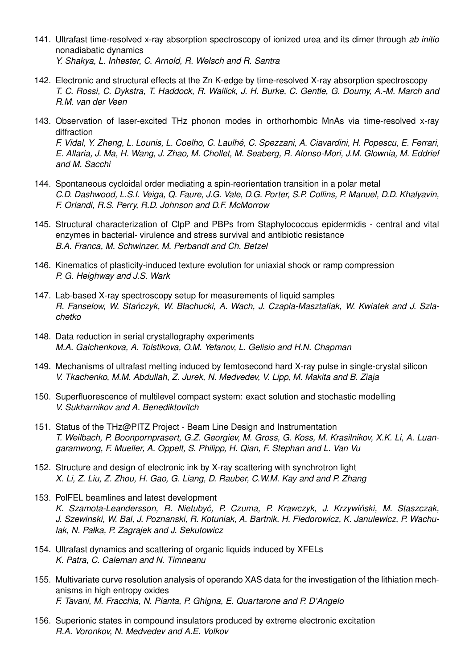- 141. Ultrafast time-resolved x-ray absorption spectroscopy of ionized urea and its dimer through *ab initio* nonadiabatic dynamics *Y. Shakya, L. Inhester, C. Arnold, R. Welsch and R. Santra*
- 142. Electronic and structural effects at the Zn K-edge by time-resolved X-ray absorption spectroscopy *T. C. Rossi, C. Dykstra, T. Haddock, R. Wallick, J. H. Burke, C. Gentle, G. Doumy, A.-M. March and R.M. van der Veen*
- 143. Observation of laser-excited THz phonon modes in orthorhombic MnAs via time-resolved x-ray diffraction *F. Vidal, Y. Zheng, L. Lounis, L. Coelho, C. Laulhé, C. Spezzani, A. Ciavardini, H. Popescu, E. Ferrari, E. Allaria, J. Ma, H. Wang, J. Zhao, M. Chollet, M. Seaberg, R. Alonso-Mori, J.M. Glownia, M. Eddrief and M. Sacchi*
- 144. Spontaneous cycloidal order mediating a spin-reorientation transition in a polar metal *C.D. Dashwood, L.S.I. Veiga, Q. Faure, J.G. Vale, D.G. Porter, S.P. Collins, P. Manuel, D.D. Khalyavin, F. Orlandi, R.S. Perry, R.D. Johnson and D.F. McMorrow*
- 145. Structural characterization of ClpP and PBPs from Staphylococcus epidermidis central and vital enzymes in bacterial- virulence and stress survival and antibiotic resistance *B.A. Franca, M. Schwinzer, M. Perbandt and Ch. Betzel*
- 146. Kinematics of plasticity-induced texture evolution for uniaxial shock or ramp compression *P. G. Heighway and J.S. Wark*
- 147. Lab-based X-ray spectroscopy setup for measurements of liquid samples *R. Fanselow, W. Stanczyk, W. Błachucki, A. Wach, J. Czapla-Masztafiak, W. Kwiatek and J. Szla- ´ chetko*
- 148. Data reduction in serial crystallography experiments *M.A. Galchenkova, A. Tolstikova, O.M. Yefanov, L. Gelisio and H.N. Chapman*
- 149. Mechanisms of ultrafast melting induced by femtosecond hard X-ray pulse in single-crystal silicon *V. Tkachenko, M.M. Abdullah, Z. Jurek, N. Medvedev, V. Lipp, M. Makita and B. Ziaja*
- 150. Superfluorescence of multilevel compact system: exact solution and stochastic modelling *V. Sukharnikov and A. Benediktovitch*
- 151. Status of the THz@PITZ Project Beam Line Design and Instrumentation *T. Weilbach, P. Boonpornprasert, G.Z. Georgiev, M. Gross, G. Koss, M. Krasilnikov, X.K. Li, A. Luangaramwong, F. Mueller, A. Oppelt, S. Philipp, H. Qian, F. Stephan and L. Van Vu*
- 152. Structure and design of electronic ink by X-ray scattering with synchrotron light *X. Li, Z. Liu, Z. Zhou, H. Gao, G. Liang, D. Rauber, C.W.M. Kay and and P. Zhang*
- 153. PolFEL beamlines and latest development *K. Szamota-Leandersson, R. Nietubyc, P. Czuma, P. Krawczyk, J. Krzywi ´ nski, M. Staszczak, ´ J. Szewinski, W. Bal, J. Poznanski, R. Kotuniak, A. Bartnik, H. Fiedorowicz, K. Janulewicz, P. Wachulak, N. Pałka, P. Zagrajek and J. Sekutowicz*
- 154. Ultrafast dynamics and scattering of organic liquids induced by XFELs *K. Patra, C. Caleman and N. Timneanu*
- 155. Multivariate curve resolution analysis of operando XAS data for the investigation of the lithiation mechanisms in high entropy oxides *F. Tavani, M. Fracchia, N. Pianta, P. Ghigna, E. Quartarone and P. D'Angelo*
- 156. Superionic states in compound insulators produced by extreme electronic excitation *R.A. Voronkov, N. Medvedev and A.E. Volkov*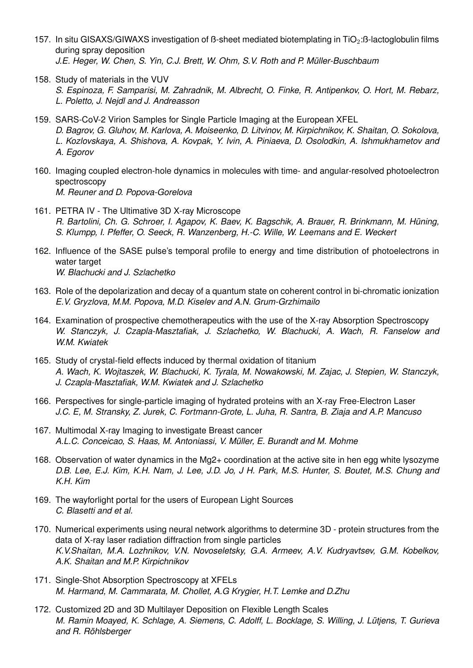- 157. In situ GISAXS/GIWAXS investigation of B-sheet mediated biotemplating in TiO<sub>2</sub>:B-lactoglobulin films during spray deposition *J.E. Heger, W. Chen, S. Yin, C.J. Brett, W. Ohm, S.V. Roth and P. Müller-Buschbaum*
- 158. Study of materials in the VUV
	- *S. Espinoza, F. Samparisi, M. Zahradnik, M. Albrecht, O. Finke, R. Antipenkov, O. Hort, M. Rebarz, L. Poletto, J. Nejdl and J. Andreasson*
- 159. SARS-CoV-2 Virion Samples for Single Particle Imaging at the European XFEL *D. Bagrov, G. Gluhov, M. Karlova, A. Moiseenko, D. Litvinov, M. Kirpichnikov, K. Shaitan, O. Sokolova, L. Kozlovskaya, A. Shishova, A. Kovpak, Y. Ivin, A. Piniaeva, D. Osolodkin, A. Ishmukhametov and A. Egorov*
- 160. Imaging coupled electron-hole dynamics in molecules with time- and angular-resolved photoelectron spectroscopy *M. Reuner and D. Popova-Gorelova*
- 161. PETRA IV The Ultimative 3D X-ray Microscope *R. Bartolini, Ch. G. Schroer, I. Agapov, K. Baev, K. Bagschik, A. Brauer, R. Brinkmann, M. Hüning, S. Klumpp, I. Pfeffer, O. Seeck, R. Wanzenberg, H.-C. Wille, W. Leemans and E. Weckert*
- 162. Influence of the SASE pulse's temporal profile to energy and time distribution of photoelectrons in water target *W. Blachucki and J. Szlachetko*
- 163. Role of the depolarization and decay of a quantum state on coherent control in bi-chromatic ionization *E.V. Gryzlova, M.M. Popova, M.D. Kiselev and A.N. Grum-Grzhimailo*
- 164. Examination of prospective chemotherapeutics with the use of the X-ray Absorption Spectroscopy *W. Stanczyk, J. Czapla-Masztafiak, J. Szlachetko, W. Blachucki, A. Wach, R. Fanselow and W.M. Kwiatek*
- 165. Study of crystal-field effects induced by thermal oxidation of titanium *A. Wach, K. Wojtaszek, W. Blachucki, K. Tyrala, M. Nowakowski, M. Zajac, J. Stepien, W. Stanczyk, J. Czapla-Masztafiak, W.M. Kwiatek and J. Szlachetko*
- 166. Perspectives for single-particle imaging of hydrated proteins with an X-ray Free-Electron Laser *J.C. E, M. Stransky, Z. Jurek, C. Fortmann-Grote, L. Juha, R. Santra, B. Ziaja and A.P. Mancuso*
- 167. Multimodal X-ray Imaging to investigate Breast cancer *A.L.C. Conceicao, S. Haas, M. Antoniassi, V. Müller, E. Burandt and M. Mohme*
- 168. Observation of water dynamics in the Mg2+ coordination at the active site in hen egg white lysozyme *D.B. Lee, E.J. Kim, K.H. Nam, J. Lee, J.D. Jo, J H. Park, M.S. Hunter, S. Boutet, M.S. Chung and K.H. Kim*
- 169. The wayforlight portal for the users of European Light Sources *C. Blasetti and et al.*
- 170. Numerical experiments using neural network algorithms to determine 3D protein structures from the data of X-ray laser radiation diffraction from single particles *K.V.Shaitan, M.A. Lozhnikov, V.N. Novoseletsky, G.A. Armeev, A.V. Kudryavtsev, G.M. Kobelkov, A.K. Shaitan and M.P. Kirpichnikov*
- 171. Single-Shot Absorption Spectroscopy at XFELs *M. Harmand, M. Cammarata, M. Chollet, A.G Krygier, H.T. Lemke and D.Zhu*
- 172. Customized 2D and 3D Multilayer Deposition on Flexible Length Scales *M. Ramin Moayed, K. Schlage, A. Siemens, C. Adolff, L. Bocklage, S. Willing, J. Lütjens, T. Gurieva and R. Röhlsberger*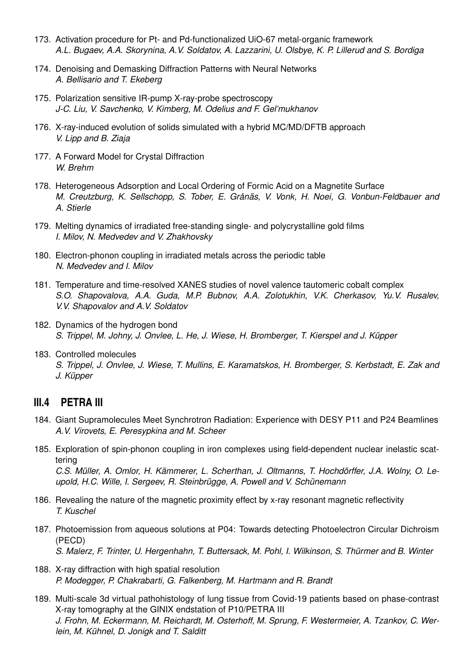- 173. Activation procedure for Pt- and Pd-functionalized UiO-67 metal-organic framework *A.L. Bugaev, A.A. Skorynina, A.V. Soldatov, A. Lazzarini, U. Olsbye, K. P. Lillerud and S. Bordiga*
- 174. Denoising and Demasking Diffraction Patterns with Neural Networks *A. Bellisario and T. Ekeberg*
- 175. Polarization sensitive IR-pump X-ray-probe spectroscopy *J-C. Liu, V. Savchenko, V. Kimberg, M. Odelius and F. Gel'mukhanov*
- 176. X-ray-induced evolution of solids simulated with a hybrid MC/MD/DFTB approach *V. Lipp and B. Ziaja*
- 177. A Forward Model for Crystal Diffraction *W. Brehm*
- 178. Heterogeneous Adsorption and Local Ordering of Formic Acid on a Magnetite Surface *M. Creutzburg, K. Sellschopp, S. Tober, E. Grånäs, V. Vonk, H. Noei, G. Vonbun-Feldbauer and A. Stierle*
- 179. Melting dynamics of irradiated free-standing single- and polycrystalline gold films *I. Milov, N. Medvedev and V. Zhakhovsky*
- 180. Electron-phonon coupling in irradiated metals across the periodic table *N. Medvedev and I. Milov*
- 181. Temperature and time-resolved XANES studies of novel valence tautomeric cobalt complex *S.O. Shapovalova, A.A. Guda, M.P. Bubnov, A.A. Zolotukhin, V.K. Cherkasov, Yu.V. Rusalev, V.V. Shapovalov and A.V. Soldatov*
- 182. Dynamics of the hydrogen bond *S. Trippel, M. Johny, J. Onvlee, L. He, J. Wiese, H. Bromberger, T. Kierspel and J. Küpper*
- 183. Controlled molecules *S. Trippel, J. Onvlee, J. Wiese, T. Mullins, E. Karamatskos, H. Bromberger, S. Kerbstadt, E. Zak and J. Küpper*

#### **III.4 PETRA III**

- 184. Giant Supramolecules Meet Synchrotron Radiation: Experience with DESY P11 and P24 Beamlines *A.V. Virovets, E. Peresypkina and M. Scheer*
- 185. Exploration of spin-phonon coupling in iron complexes using field-dependent nuclear inelastic scattering *C.S. Müller, A. Omlor, H. Kämmerer, L. Scherthan, J. Oltmanns, T. Hochdörffer, J.A. Wolny, O. Leupold, H.C. Wille, I. Sergeev, R. Steinbrügge, A. Powell and V. Schünemann*
- 186. Revealing the nature of the magnetic proximity effect by x-ray resonant magnetic reflectivity *T. Kuschel*
- 187. Photoemission from aqueous solutions at P04: Towards detecting Photoelectron Circular Dichroism (PECD) *S. Malerz, F. Trinter, U. Hergenhahn, T. Buttersack, M. Pohl, I. Wilkinson, S. Thürmer and B. Winter*
- 188. X-ray diffraction with high spatial resolution *P. Modegger, P. Chakrabarti, G. Falkenberg, M. Hartmann and R. Brandt*
- 189. Multi-scale 3d virtual pathohistology of lung tissue from Covid-19 patients based on phase-contrast X-ray tomography at the GINIX endstation of P10/PETRA III *J. Frohn, M. Eckermann, M. Reichardt, M. Osterhoff, M. Sprung, F. Westermeier, A. Tzankov, C. Werlein, M. Kühnel, D. Jonigk and T. Salditt*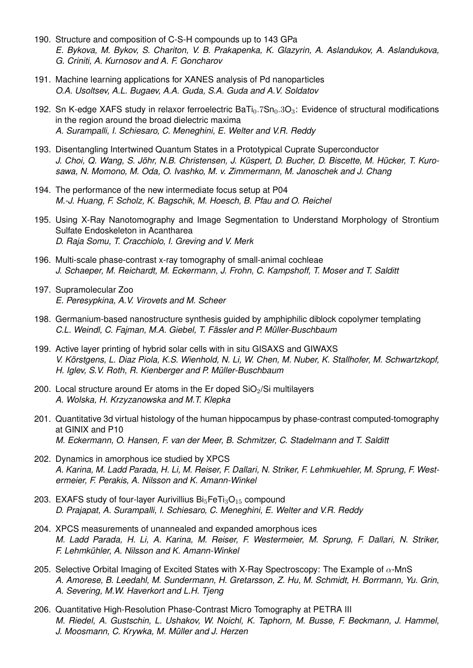- 190. Structure and composition of C-S-H compounds up to 143 GPa *E. Bykova, M. Bykov, S. Chariton, V. B. Prakapenka, K. Glazyrin, A. Aslandukov, A. Aslandukova, G. Criniti, A. Kurnosov and A. F. Goncharov*
- 191. Machine learning applications for XANES analysis of Pd nanoparticles *O.A. Usoltsev, A.L. Bugaev, A.A. Guda, S.A. Guda and A.V. Soldatov*
- 192. Sn K-edge XAFS study in relaxor ferroelectric BaTi $_0.7$ Sn $_0.3O_3$ : Evidence of structural modifications in the region around the broad dielectric maxima *A. Surampalli, I. Schiesaro, C. Meneghini, E. Welter and V.R. Reddy*
- 193. Disentangling Intertwined Quantum States in a Prototypical Cuprate Superconductor *J. Choi, Q. Wang, S. Jöhr, N.B. Christensen, J. Küspert, D. Bucher, D. Biscette, M. Hücker, T. Kurosawa, N. Momono, M. Oda, O. Ivashko, M. v. Zimmermann, M. Janoschek and J. Chang*
- 194. The performance of the new intermediate focus setup at P04 *M.-J. Huang, F. Scholz, K. Bagschik, M. Hoesch, B. Pfau and O. Reichel*
- 195. Using X-Ray Nanotomography and Image Segmentation to Understand Morphology of Strontium Sulfate Endoskeleton in Acantharea *D. Raja Somu, T. Cracchiolo, I. Greving and V. Merk*
- 196. Multi-scale phase-contrast x-ray tomography of small-animal cochleae *J. Schaeper, M. Reichardt, M. Eckermann, J. Frohn, C. Kampshoff, T. Moser and T. Salditt*
- 197. Supramolecular Zoo *E. Peresypkina, A.V. Virovets and M. Scheer*
- 198. Germanium-based nanostructure synthesis guided by amphiphilic diblock copolymer templating *C.L. Weindl, C. Fajman, M.A. Giebel, T. Fässler and P. Müller-Buschbaum*
- 199. Active layer printing of hybrid solar cells with in situ GISAXS and GIWAXS *V. Körstgens, L. Diaz Piola, K.S. Wienhold, N. Li, W. Chen, M. Nuber, K. Stallhofer, M. Schwartzkopf, H. Iglev, S.V. Roth, R. Kienberger and P. Müller-Buschbaum*
- 200. Local structure around Er atoms in the Er doped  $SiO<sub>2</sub>/Si$  multilayers *A. Wolska, H. Krzyzanowska and M.T. Klepka*
- 201. Quantitative 3d virtual histology of the human hippocampus by phase-contrast computed-tomography at GINIX and P10 *M. Eckermann, O. Hansen, F. van der Meer, B. Schmitzer, C. Stadelmann and T. Salditt*
- 202. Dynamics in amorphous ice studied by XPCS *A. Karina, M. Ladd Parada, H. Li, M. Reiser, F. Dallari, N. Striker, F. Lehmkuehler, M. Sprung, F. Westermeier, F. Perakis, A. Nilsson and K. Amann-Winkel*
- 203. EXAFS study of four-layer Aurivillius  $Bi_5FeTi_3O_{15}$  compound *D. Prajapat, A. Surampalli, I. Schiesaro, C. Meneghini, E. Welter and V.R. Reddy*
- 204. XPCS measurements of unannealed and expanded amorphous ices *M. Ladd Parada, H. Li, A. Karina, M. Reiser, F. Westermeier, M. Sprung, F. Dallari, N. Striker, F. Lehmkühler, A. Nilsson and K. Amann-Winkel*
- 205. Selective Orbital Imaging of Excited States with X-Ray Spectroscopy: The Example of  $\alpha$ -MnS *A. Amorese, B. Leedahl, M. Sundermann, H. Gretarsson, Z. Hu, M. Schmidt, H. Borrmann, Yu. Grin, A. Severing, M.W. Haverkort and L.H. Tjeng*
- 206. Quantitative High-Resolution Phase-Contrast Micro Tomography at PETRA III *M. Riedel, A. Gustschin, L. Ushakov, W. Noichl, K. Taphorn, M. Busse, F. Beckmann, J. Hammel, J. Moosmann, C. Krywka, M. Müller and J. Herzen*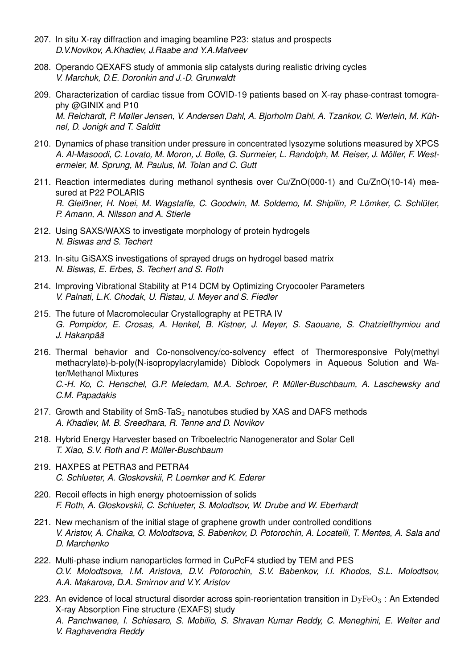- 207. In situ X-ray diffraction and imaging beamline P23: status and prospects *D.V.Novikov, A.Khadiev, J.Raabe and Y.A.Matveev*
- 208. Operando QEXAFS study of ammonia slip catalysts during realistic driving cycles *V. Marchuk, D.E. Doronkin and J.-D. Grunwaldt*
- 209. Characterization of cardiac tissue from COVID-19 patients based on X-ray phase-contrast tomography @GINIX and P10 *M. Reichardt, P. Møller Jensen, V. Andersen Dahl, A. Bjorholm Dahl, A. Tzankov, C. Werlein, M. Kühnel, D. Jonigk and T. Salditt*
- 210. Dynamics of phase transition under pressure in concentrated lysozyme solutions measured by XPCS *A. Al-Masoodi, C. Lovato, M. Moron, J. Bolle, G. Surmeier, L. Randolph, M. Reiser, J. Möller, F. Westermeier, M. Sprung, M. Paulus, M. Tolan and C. Gutt*
- 211. Reaction intermediates during methanol synthesis over Cu/ZnO(000-1) and Cu/ZnO(10-14) measured at P22 POLARIS *R. Gleißner, H. Noei, M. Wagstaffe, C. Goodwin, M. Soldemo, M. Shipilin, P. Lömker, C. Schlüter, P. Amann, A. Nilsson and A. Stierle*
- 212. Using SAXS/WAXS to investigate morphology of protein hydrogels *N. Biswas and S. Techert*
- 213. In-situ GiSAXS investigations of sprayed drugs on hydrogel based matrix *N. Biswas, E. Erbes, S. Techert and S. Roth*
- 214. Improving Vibrational Stability at P14 DCM by Optimizing Cryocooler Parameters *V. Palnati, L.K. Chodak, U. Ristau, J. Meyer and S. Fiedler*
- 215. The future of Macromolecular Crystallography at PETRA IV *G. Pompidor, E. Crosas, A. Henkel, B. Kistner, J. Meyer, S. Saouane, S. Chatziefthymiou and J. Hakanpää*
- 216. Thermal behavior and Co-nonsolvency/co-solvency effect of Thermoresponsive Poly(methyl methacrylate)-b-poly(N-isopropylacrylamide) Diblock Copolymers in Aqueous Solution and Water/Methanol Mixtures *C.-H. Ko, C. Henschel, G.P. Meledam, M.A. Schroer, P. Müller-Buschbaum, A. Laschewsky and C.M. Papadakis*
- 217. Growth and Stability of  $SmS-TaS<sub>2</sub>$  nanotubes studied by XAS and DAFS methods *A. Khadiev, M. B. Sreedhara, R. Tenne and D. Novikov*
- 218. Hybrid Energy Harvester based on Triboelectric Nanogenerator and Solar Cell *T. Xiao, S.V. Roth and P. Müller-Buschbaum*
- 219. HAXPES at PETRA3 and PETRA4 *C. Schlueter, A. Gloskovskii, P. Loemker and K. Ederer*
- 220. Recoil effects in high energy photoemission of solids *F. Roth, A. Gloskovskii, C. Schlueter, S. Molodtsov, W. Drube and W. Eberhardt*
- 221. New mechanism of the initial stage of graphene growth under controlled conditions *V. Aristov, A. Chaika, O. Molodtsova, S. Babenkov, D. Potorochin, A. Locatelli, T. Mentes, A. Sala and D. Marchenko*
- 222. Multi-phase indium nanoparticles formed in CuPcF4 studied by TEM and PES *O.V. Molodtsova, I.M. Aristova, D.V. Potorochin, S.V. Babenkov, I.I. Khodos, S.L. Molodtsov, A.A. Makarova, D.A. Smirnov and V.Y. Aristov*
- 223. An evidence of local structural disorder across spin-reorientation transition in  $\text{DyFeO}_3$ : An Extended X-ray Absorption Fine structure (EXAFS) study *A. Panchwanee, I. Schiesaro, S. Mobilio, S. Shravan Kumar Reddy, C. Meneghini, E. Welter and V. Raghavendra Reddy*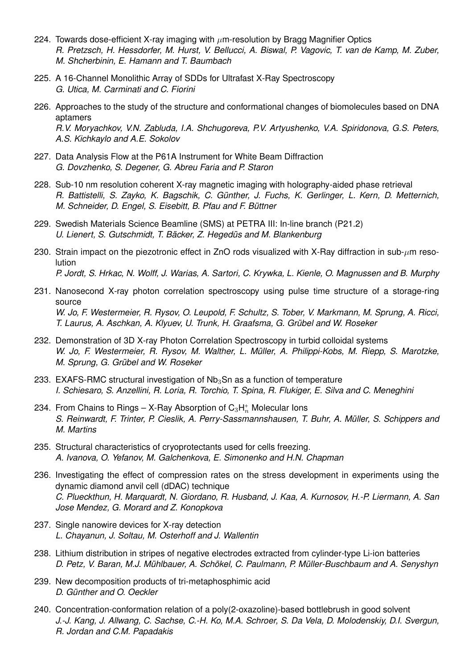- 224. Towards dose-efficient X-ray imaging with  $\mu$ m-resolution by Bragg Magnifier Optics *R. Pretzsch, H. Hessdorfer, M. Hurst, V. Bellucci, A. Biswal, P. Vagovic, T. van de Kamp, M. Zuber, M. Shcherbinin, E. Hamann and T. Baumbach*
- 225. A 16-Channel Monolithic Array of SDDs for Ultrafast X-Ray Spectroscopy *G. Utica, M. Carminati and C. Fiorini*
- 226. Approaches to the study of the structure and conformational changes of biomolecules based on DNA aptamers *R.V. Moryachkov, V.N. Zabluda, I.A. Shchugoreva, P.V. Artyushenko, V.A. Spiridonova, G.S. Peters, A.S. Kichkaylo and A.E. Sokolov*
- 227. Data Analysis Flow at the P61A Instrument for White Beam Diffraction *G. Dovzhenko, S. Degener, G. Abreu Faria and P. Staron*
- 228. Sub-10 nm resolution coherent X-ray magnetic imaging with holography-aided phase retrieval *R. Battistelli, S. Zayko, K. Bagschik, C. Günther, J. Fuchs, K. Gerlinger, L. Kern, D. Metternich, M. Schneider, D. Engel, S. Eisebitt, B. Pfau and F. Büttner*
- 229. Swedish Materials Science Beamline (SMS) at PETRA III: In-line branch (P21.2) *U. Lienert, S. Gutschmidt, T. Bäcker, Z. Hegedüs and M. Blankenburg*
- 230. Strain impact on the piezotronic effect in ZnO rods visualized with X-Ray diffraction in sub- $\mu$ m resolution *P. Jordt, S. Hrkac, N. Wolff, J. Warias, A. Sartori, C. Krywka, L. Kienle, O. Magnussen and B. Murphy*
- 231. Nanosecond X-ray photon correlation spectroscopy using pulse time structure of a storage-ring source *W. Jo, F. Westermeier, R. Rysov, O. Leupold, F. Schultz, S. Tober, V. Markmann, M. Sprung, A. Ricci, T. Laurus, A. Aschkan, A. Klyuev, U. Trunk, H. Graafsma, G. Grübel and W. Roseker*
- 232. Demonstration of 3D X-ray Photon Correlation Spectroscopy in turbid colloidal systems *W. Jo, F. Westermeier, R. Rysov, M. Walther, L. Müller, A. Philippi-Kobs, M. Riepp, S. Marotzke, M. Sprung, G. Grübel and W. Roseker*
- 233. EXAFS-RMC structural investigation of  $Nb<sub>3</sub>Sn$  as a function of temperature *I. Schiesaro, S. Anzellini, R. Loria, R. Torchio, T. Spina, R. Flukiger, E. Silva and C. Meneghini*
- 234. From Chains to Rings X-Ray Absorption of  $\mathsf{C}_3\mathsf{H}_n^+$  Molecular lons *S. Reinwardt, F. Trinter, P. Cieslik, A. Perry-Sassmannshausen, T. Buhr, A. Müller, S. Schippers and M. Martins*
- 235. Structural characteristics of cryoprotectants used for cells freezing. *A. Ivanova, O. Yefanov, M. Galchenkova, E. Simonenko and H.N. Chapman*
- 236. Investigating the effect of compression rates on the stress development in experiments using the dynamic diamond anvil cell (dDAC) technique *C. Plueckthun, H. Marquardt, N. Giordano, R. Husband, J. Kaa, A. Kurnosov, H.-P. Liermann, A. San Jose Mendez, G. Morard and Z. Konopkova*
- 237. Single nanowire devices for X-ray detection *L. Chayanun, J. Soltau, M. Osterhoff and J. Wallentin*
- 238. Lithium distribution in stripes of negative electrodes extracted from cylinder-type Li-ion batteries *D. Petz, V. Baran, M.J. Mühlbauer, A. Schökel, C. Paulmann, P. Müller-Buschbaum and A. Senyshyn*
- 239. New decomposition products of tri-metaphosphimic acid *D. Günther and O. Oeckler*
- 240. Concentration-conformation relation of a poly(2-oxazoline)-based bottlebrush in good solvent *J.-J. Kang, J. Allwang, C. Sachse, C.-H. Ko, M.A. Schroer, S. Da Vela, D. Molodenskiy, D.I. Svergun, R. Jordan and C.M. Papadakis*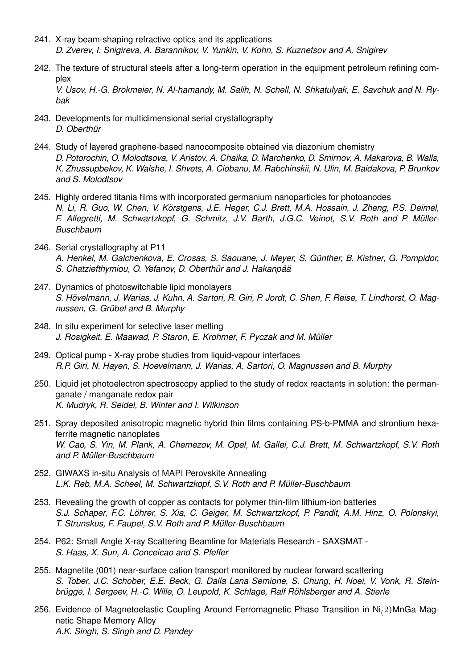- 241. X-ray beam-shaping refractive optics and its applications *D. Zverev, I. Snigireva, A. Barannikov, V. Yunkin, V. Kohn, S. Kuznetsov and A. Snigirev*
- 242. The texture of structural steels after a long-term operation in the equipment petroleum refining complex *V. Usov, H.-G. Brokmeier, N. Al-hamandy, M. Salih, N. Schell, N. Shkatulyak, E. Savchuk and N. Ry-*
- 243. Developments for multidimensional serial crystallography *D. Oberthür*

*bak*

- 244. Study of layered graphene-based nanocomposite obtained via diazonium chemistry *D. Potorochin, O. Molodtsova, V. Aristov, A. Chaika, D. Marchenko, D. Smirnov, A. Makarova, B. Walls, K. Zhussupbekov, K. Walshe, I. Shvets, A. Ciobanu, M. Rabchinskii, N. Ulin, M. Baidakova, P. Brunkov and S. Molodtsov*
- 245. Highly ordered titania films with incorporated germanium nanoparticles for photoanodes *N. Li, R. Guo, W. Chen, V. Körstgens, J.E. Heger, C.J. Brett, M.A. Hossain, J. Zheng, P.S. Deimel, F. Allegretti, M. Schwartzkopf, G. Schmitz, J.V. Barth, J.G.C. Veinot, S.V. Roth and P. Müller-Buschbaum*
- 246. Serial crystallography at P11 *A. Henkel, M. Galchenkova, E. Crosas, S. Saouane, J. Meyer, S. Günther, B. Kistner, G. Pompidor, S. Chatziefthymiou, O. Yefanov, D. Oberthür and J. Hakanpää*
- 247. Dynamics of photoswitchable lipid monolayers *S. Hövelmann, J. Warias, J. Kuhn, A. Sartori, R. Giri, P. Jordt, C. Shen, F. Reise, T. Lindhorst, O. Magnussen, G. Grübel and B. Murphy*
- 248. In situ experiment for selective laser melting *J. Rosigkeit, E. Maawad, P. Staron, E. Krohmer, F. Pyczak and M. Müller*
- 249. Optical pump X-ray probe studies from liquid-vapour interfaces *R.P. Giri, N. Hayen, S. Hoevelmann, J. Warias, A. Sartori, O. Magnussen and B. Murphy*
- 250. Liquid jet photoelectron spectroscopy applied to the study of redox reactants in solution: the permanganate / manganate redox pair *K. Mudryk, R. Seidel, B. Winter and I. Wilkinson*
- 251. Spray deposited anisotropic magnetic hybrid thin films containing PS-b-PMMA and strontium hexaferrite magnetic nanoplates *W. Cao, S. Yin, M. Plank, A. Chemezov, M. Opel, M. Gallei, C.J. Brett, M. Schwartzkopf, S.V. Roth and P. Müller-Buschbaum*
- 252. GIWAXS in-situ Analysis of MAPI Perovskite Annealing *L.K. Reb, M.A. Scheel, M. Schwartzkopf, S.V. Roth and P. Müller-Buschbaum*
- 253. Revealing the growth of copper as contacts for polymer thin-film lithium-ion batteries *S.J. Schaper, F.C. Löhrer, S. Xia, C. Geiger, M. Schwartzkopf, P. Pandit, A.M. Hinz, O. Polonskyi, T. Strunskus, F. Faupel, S.V. Roth and P. Müller-Buschbaum*
- 254. P62: Small Angle X-ray Scattering Beamline for Materials Research SAXSMAT *S. Haas, X. Sun, A. Conceicao and S. Pfeffer*
- 255. Magnetite (001) near-surface cation transport monitored by nuclear forward scattering *S. Tober, J.C. Schober, E.E. Beck, G. Dalla Lana Semione, S. Chung, H. Noei, V. Vonk, R. Steinbrügge, I. Sergeev, H.-C. Wille, O. Leupold, K. Schlage, Ralf Röhlsberger and A. Stierle*
- 256. Evidence of Magnetoelastic Coupling Around Ferromagnetic Phase Transition in Ni(2)MnGa Magnetic Shape Memory Alloy *A.K. Singh, S. Singh and D. Pandey*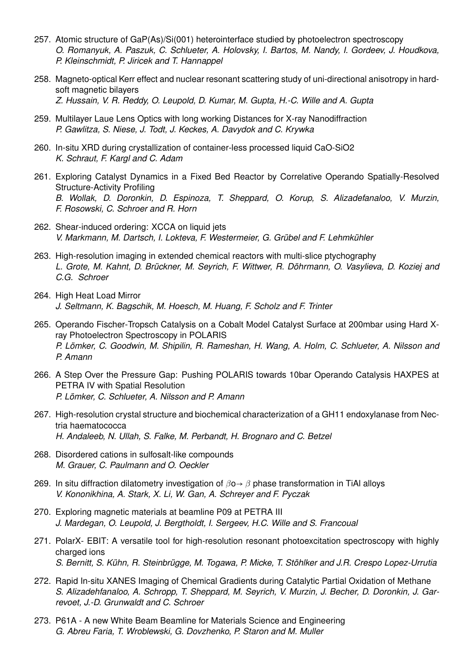- 257. Atomic structure of GaP(As)/Si(001) heterointerface studied by photoelectron spectroscopy *O. Romanyuk, A. Paszuk, C. Schlueter, A. Holovsky, I. Bartos, M. Nandy, I. Gordeev, J. Houdkova, P. Kleinschmidt, P. Jiricek and T. Hannappel*
- 258. Magneto-optical Kerr effect and nuclear resonant scattering study of uni-directional anisotropy in hardsoft magnetic bilayers *Z. Hussain, V. R. Reddy, O. Leupold, D. Kumar, M. Gupta, H.-C. Wille and A. Gupta*
- 259. Multilayer Laue Lens Optics with long working Distances for X-ray Nanodiffraction *P. Gawlitza, S. Niese, J. Todt, J. Keckes, A. Davydok and C. Krywka*
- 260. In-situ XRD during crystallization of container-less processed liquid CaO-SiO2 *K. Schraut, F. Kargl and C. Adam*
- 261. Exploring Catalyst Dynamics in a Fixed Bed Reactor by Correlative Operando Spatially-Resolved Structure-Activity Profiling *B. Wollak, D. Doronkin, D. Espinoza, T. Sheppard, O. Korup, S. Alizadefanaloo, V. Murzin, F. Rosowski, C. Schroer and R. Horn*
- 262. Shear-induced ordering: XCCA on liquid jets *V. Markmann, M. Dartsch, I. Lokteva, F. Westermeier, G. Grübel and F. Lehmkühler*
- 263. High-resolution imaging in extended chemical reactors with multi-slice ptychography *L. Grote, M. Kahnt, D. Brückner, M. Seyrich, F. Wittwer, R. Döhrmann, O. Vasylieva, D. Koziej and C.G. Schroer*
- 264. High Heat Load Mirror *J. Seltmann, K. Bagschik, M. Hoesch, M. Huang, F. Scholz and F. Trinter*
- 265. Operando Fischer-Tropsch Catalysis on a Cobalt Model Catalyst Surface at 200mbar using Hard Xray Photoelectron Spectroscopy in POLARIS *P. Lömker, C. Goodwin, M. Shipilin, R. Rameshan, H. Wang, A. Holm, C. Schlueter, A. Nilsson and P. Amann*
- 266. A Step Over the Pressure Gap: Pushing POLARIS towards 10bar Operando Catalysis HAXPES at PETRA IV with Spatial Resolution *P. Lömker, C. Schlueter, A. Nilsson and P. Amann*
- 267. High-resolution crystal structure and biochemical characterization of a GH11 endoxylanase from Nectria haematococca *H. Andaleeb, N. Ullah, S. Falke, M. Perbandt, H. Brognaro and C. Betzel*
- 268. Disordered cations in sulfosalt-like compounds *M. Grauer, C. Paulmann and O. Oeckler*
- 269. In situ diffraction dilatometry investigation of  $\beta$ o $\rightarrow \beta$  phase transformation in TiAl alloys *V. Kononikhina, A. Stark, X. Li, W. Gan, A. Schreyer and F. Pyczak*
- 270. Exploring magnetic materials at beamline P09 at PETRA III *J. Mardegan, O. Leupold, J. Bergtholdt, I. Sergeev, H.C. Wille and S. Francoual*
- 271. PolarX- EBIT: A versatile tool for high-resolution resonant photoexcitation spectroscopy with highly charged ions *S. Bernitt, S. Kühn, R. Steinbrügge, M. Togawa, P. Micke, T. Stöhlker and J.R. Crespo Lopez-Urrutia*
- 272. Rapid In-situ XANES Imaging of Chemical Gradients during Catalytic Partial Oxidation of Methane *S. Alizadehfanaloo, A. Schropp, T. Sheppard, M. Seyrich, V. Murzin, J. Becher, D. Doronkin, J. Garrevoet, J.-D. Grunwaldt and C. Schroer*
- 273. P61A A new White Beam Beamline for Materials Science and Engineering *G. Abreu Faria, T. Wroblewski, G. Dovzhenko, P. Staron and M. Muller*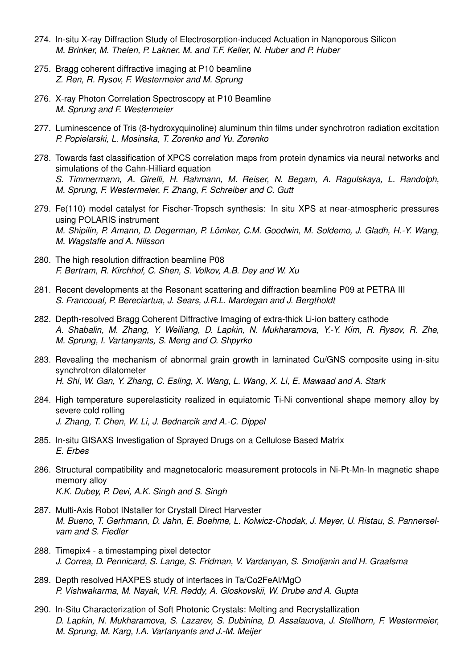- 274. In-situ X-ray Diffraction Study of Electrosorption-induced Actuation in Nanoporous Silicon *M. Brinker, M. Thelen, P. Lakner, M. and T.F. Keller, N. Huber and P. Huber*
- 275. Bragg coherent diffractive imaging at P10 beamline *Z. Ren, R. Rysov, F. Westermeier and M. Sprung*
- 276. X-ray Photon Correlation Spectroscopy at P10 Beamline *M. Sprung and F. Westermeier*
- 277. Luminescence of Tris (8-hydroxyquinoline) aluminum thin films under synchrotron radiation excitation *P. Popielarski, L. Mosinska, T. Zorenko and Yu. Zorenko*
- 278. Towards fast classification of XPCS correlation maps from protein dynamics via neural networks and simulations of the Cahn-Hilliard equation *S. Timmermann, A. Girelli, H. Rahmann, M. Reiser, N. Begam, A. Ragulskaya, L. Randolph, M. Sprung, F. Westermeier, F. Zhang, F. Schreiber and C. Gutt*
- 279. Fe(110) model catalyst for Fischer-Tropsch synthesis: In situ XPS at near-atmospheric pressures using POLARIS instrument *M. Shipilin, P. Amann, D. Degerman, P. Lömker, C.M. Goodwin, M. Soldemo, J. Gladh, H.-Y. Wang, M. Wagstaffe and A. Nilsson*
- 280. The high resolution diffraction beamline P08 *F. Bertram, R. Kirchhof, C. Shen, S. Volkov, A.B. Dey and W. Xu*
- 281. Recent developments at the Resonant scattering and diffraction beamline P09 at PETRA III *S. Francoual, P. Bereciartua, J. Sears, J.R.L. Mardegan and J. Bergtholdt*
- 282. Depth-resolved Bragg Coherent Diffractive Imaging of extra-thick Li-ion battery cathode *A. Shabalin, M. Zhang, Y. Weiliang, D. Lapkin, N. Mukharamova, Y.-Y. Kim, R. Rysov, R. Zhe, M. Sprung, I. Vartanyants, S. Meng and O. Shpyrko*
- 283. Revealing the mechanism of abnormal grain growth in laminated Cu/GNS composite using in-situ synchrotron dilatometer *H. Shi, W. Gan, Y. Zhang, C. Esling, X. Wang, L. Wang, X. Li, E. Mawaad and A. Stark*
- 284. High temperature superelasticity realized in equiatomic Ti-Ni conventional shape memory alloy by severe cold rolling *J. Zhang, T. Chen, W. Li, J. Bednarcik and A.-C. Dippel*
- 285. In-situ GISAXS Investigation of Sprayed Drugs on a Cellulose Based Matrix *E. Erbes*
- 286. Structural compatibility and magnetocaloric measurement protocols in Ni-Pt-Mn-In magnetic shape memory alloy *K.K. Dubey, P. Devi, A.K. Singh and S. Singh*
- 287. Multi-Axis Robot INstaller for Crystall Direct Harvester *M. Bueno, T. Gerhmann, D. Jahn, E. Boehme, L. Kolwicz-Chodak, J. Meyer, U. Ristau, S. Pannerselvam and S. Fiedler*
- 288. Timepix4 a timestamping pixel detector *J. Correa, D. Pennicard, S. Lange, S. Fridman, V. Vardanyan, S. Smoljanin and H. Graafsma*
- 289. Depth resolved HAXPES study of interfaces in Ta/Co2FeAl/MgO *P. Vishwakarma, M. Nayak, V.R. Reddy, A. Gloskovskii, W. Drube and A. Gupta*
- 290. In-Situ Characterization of Soft Photonic Crystals: Melting and Recrystallization *D. Lapkin, N. Mukharamova, S. Lazarev, S. Dubinina, D. Assalauova, J. Stellhorn, F. Westermeier, M. Sprung, M. Karg, I.A. Vartanyants and J.-M. Meijer*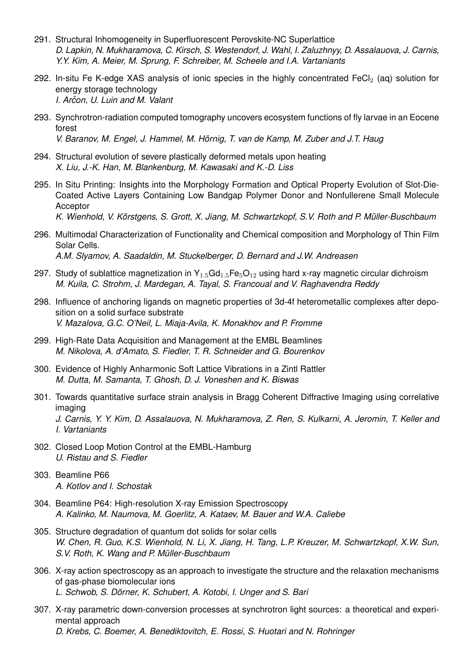- 291. Structural Inhomogeneity in Superfluorescent Perovskite-NC Superlattice *D. Lapkin, N. Mukharamova, C. Kirsch, S. Westendorf, J. Wahl, I. Zaluzhnyy, D. Assalauova, J. Carnis, Y.Y. Kim, A. Meier, M. Sprung, F. Schreiber, M. Scheele and I.A. Vartaniants*
- 292. In-situ Fe K-edge XAS analysis of ionic species in the highly concentrated FeCl<sub>2</sub> (aq) solution for energy storage technology *I. Arcon, U. Luin and M. Valant ˇ*
- 293. Synchrotron-radiation computed tomography uncovers ecosystem functions of fly larvae in an Eocene forest *V. Baranov, M. Engel, J. Hammel, M. Hörnig, T. van de Kamp, M. Zuber and J.T. Haug*
- 294. Structural evolution of severe plastically deformed metals upon heating *X. Liu, J.-K. Han, M. Blankenburg, M. Kawasaki and K.-D. Liss*
- 295. In Situ Printing: Insights into the Morphology Formation and Optical Property Evolution of Slot-Die-Coated Active Layers Containing Low Bandgap Polymer Donor and Nonfullerene Small Molecule **Acceptor**

*K. Wienhold, V. Körstgens, S. Grott, X. Jiang, M. Schwartzkopf, S.V. Roth and P. Müller-Buschbaum*

- 296. Multimodal Characterization of Functionality and Chemical composition and Morphology of Thin Film Solar Cells. *A.M. Slyamov, A. Saadaldin, M. Stuckelberger, D. Bernard and J.W. Andreasen*
- 297. Study of sublattice magnetization in  $Y_{1.5}$ Gd<sub>1.5</sub>Fe<sub>5</sub>O<sub>12</sub> using hard x-ray magnetic circular dichroism *M. Kuila, C. Strohm, J. Mardegan, A. Tayal, S. Francoual and V. Raghavendra Reddy*
- 298. Influence of anchoring ligands on magnetic properties of 3d-4f heterometallic complexes after deposition on a solid surface substrate *V. Mazalova, G.C. O'Neil, L. Miaja-Avila, K. Monakhov and P. Fromme*
- 299. High-Rate Data Acquisition and Management at the EMBL Beamlines *M. Nikolova, A. d'Amato, S. Fiedler, T. R. Schneider and G. Bourenkov*
- 300. Evidence of Highly Anharmonic Soft Lattice Vibrations in a Zintl Rattler *M. Dutta, M. Samanta, T. Ghosh, D. J. Voneshen and K. Biswas*
- 301. Towards quantitative surface strain analysis in Bragg Coherent Diffractive Imaging using correlative imaging

*J. Carnis, Y. Y. Kim, D. Assalauova, N. Mukharamova, Z. Ren, S. Kulkarni, A. Jeromin, T. Keller and I. Vartaniants*

- 302. Closed Loop Motion Control at the EMBL-Hamburg *U. Ristau and S. Fiedler*
- 303. Beamline P66 *A. Kotlov and I. Schostak*
- 304. Beamline P64: High-resolution X-ray Emission Spectroscopy *A. Kalinko, M. Naumova, M. Goerlitz, A. Kataev, M. Bauer and W.A. Caliebe*
- 305. Structure degradation of quantum dot solids for solar cells *W. Chen, R. Guo, K.S. Wienhold, N. Li, X. Jiang, H. Tang, L.P. Kreuzer, M. Schwartzkopf, X.W. Sun, S.V. Roth, K. Wang and P. Müller-Buschbaum*
- 306. X-ray action spectroscopy as an approach to investigate the structure and the relaxation mechanisms of gas-phase biomolecular ions *L. Schwob, S. Dörner, K. Schubert, A. Kotobi, I. Unger and S. Bari*
- 307. X-ray parametric down-conversion processes at synchrotron light sources: a theoretical and experimental approach *D. Krebs, C. Boemer, A. Benediktovitch, E. Rossi, S. Huotari and N. Rohringer*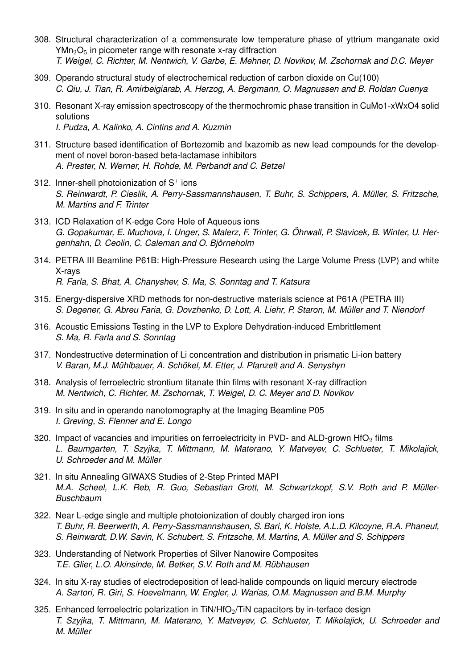- 308. Structural characterization of a commensurate low temperature phase of yttrium manganate oxid  $YMn<sub>2</sub>O<sub>5</sub>$  in picometer range with resonate x-ray diffraction *T. Weigel, C. Richter, M. Nentwich, V. Garbe, E. Mehner, D. Novikov, M. Zschornak and D.C. Meyer*
- 309. Operando structural study of electrochemical reduction of carbon dioxide on Cu(100) *C. Qiu, J. Tian, R. Amirbeigiarab, A. Herzog, A. Bergmann, O. Magnussen and B. Roldan Cuenya*
- 310. Resonant X-ray emission spectroscopy of the thermochromic phase transition in CuMo1-xWxO4 solid solutions *I. Pudza, A. Kalinko, A. Cintins and A. Kuzmin*
- 311. Structure based identification of Bortezomib and Ixazomib as new lead compounds for the development of novel boron-based beta-lactamase inhibitors *A. Prester, N. Werner, H. Rohde, M. Perbandt and C. Betzel*
- 312. Inner-shell photoionization of  $S^+$  ions *S. Reinwardt, P. Cieslik, A. Perry-Sassmannshausen, T. Buhr, S. Schippers, A. Müller, S. Fritzsche, M. Martins and F. Trinter*
- 313. ICD Relaxation of K-edge Core Hole of Aqueous ions *G. Gopakumar, E. Muchova, I. Unger, S. Malerz, F. Trinter, G. Öhrwall, P. Slavicek, B. Winter, U. Hergenhahn, D. Ceolin, C. Caleman and O. Björneholm*
- 314. PETRA III Beamline P61B: High-Pressure Research using the Large Volume Press (LVP) and white X-rays *R. Farla, S. Bhat, A. Chanyshev, S. Ma, S. Sonntag and T. Katsura*
- 315. Energy-dispersive XRD methods for non-destructive materials science at P61A (PETRA III) *S. Degener, G. Abreu Faria, G. Dovzhenko, D. Lott, A. Liehr, P. Staron, M. Müller and T. Niendorf*
- 316. Acoustic Emissions Testing in the LVP to Explore Dehydration-induced Embrittlement *S. Ma, R. Farla and S. Sonntag*
- 317. Nondestructive determination of Li concentration and distribution in prismatic Li-ion battery *V. Baran, M.J. Mühlbauer, A. Schökel, M. Etter, J. Pfanzelt and A. Senyshyn*
- 318. Analysis of ferroelectric strontium titanate thin films with resonant X-ray diffraction *M. Nentwich, C. Richter, M. Zschornak, T. Weigel, D. C. Meyer and D. Novikov*
- 319. In situ and in operando nanotomography at the Imaging Beamline P05 *I. Greving, S. Flenner and E. Longo*
- 320. Impact of vacancies and impurities on ferroelectricity in PVD- and ALD-grown HfO<sub>2</sub> films *L. Baumgarten, T. Szyjka, T. Mittmann, M. Materano, Y. Matveyev, C. Schlueter, T. Mikolajick, U. Schroeder and M. Müller*
- 321. In situ Annealing GIWAXS Studies of 2-Step Printed MAPI *M.A. Scheel, L.K. Reb, R. Guo, Sebastian Grott, M. Schwartzkopf, S.V. Roth and P. Müller-Buschbaum*
- 322. Near L-edge single and multiple photoionization of doubly charged iron ions *T. Buhr, R. Beerwerth, A. Perry-Sassmannshausen, S. Bari, K. Holste, A.L.D. Kilcoyne, R.A. Phaneuf, S. Reinwardt, D.W. Savin, K. Schubert, S. Fritzsche, M. Martins, A. Müller and S. Schippers*
- 323. Understanding of Network Properties of Silver Nanowire Composites *T.E. Glier, L.O. Akinsinde, M. Betker, S.V. Roth and M. Rübhausen*
- 324. In situ X-ray studies of electrodeposition of lead-halide compounds on liquid mercury electrode *A. Sartori, R. Giri, S. Hoevelmann, W. Engler, J. Warias, O.M. Magnussen and B.M. Murphy*
- 325. Enhanced ferroelectric polarization in  $TiN/HfO<sub>2</sub>/TiN$  capacitors by in-terface design *T. Szyjka, T. Mittmann, M. Materano, Y. Matveyev, C. Schlueter, T. Mikolajick, U. Schroeder and M. Müller*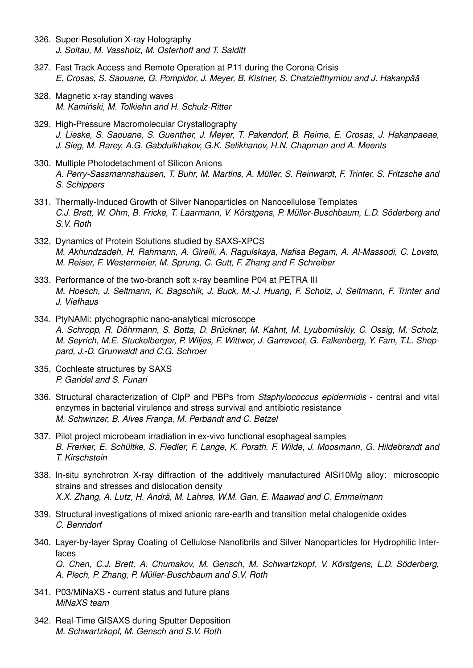- 326. Super-Resolution X-ray Holography *J. Soltau, M. Vassholz, M. Osterhoff and T. Salditt*
- 327. Fast Track Access and Remote Operation at P11 during the Corona Crisis *E. Crosas, S. Saouane, G. Pompidor, J. Meyer, B. Kistner, S. Chatziefthymiou and J. Hakanpää*
- 328. Magnetic x-ray standing waves *M. Kaminski, M. Tolkiehn and H. Schulz-Ritter ´*
- 329. High-Pressure Macromolecular Crystallography *J. Lieske, S. Saouane, S. Guenther, J. Meyer, T. Pakendorf, B. Reime, E. Crosas, J. Hakanpaeae, J. Sieg, M. Rarey, A.G. Gabdulkhakov, G.K. Selikhanov, H.N. Chapman and A. Meents*
- 330. Multiple Photodetachment of Silicon Anions *A. Perry-Sassmannshausen, T. Buhr, M. Martins, A. Müller, S. Reinwardt, F. Trinter, S. Fritzsche and S. Schippers*
- 331. Thermally-Induced Growth of Silver Nanoparticles on Nanocellulose Templates *C.J. Brett, W. Ohm, B. Fricke, T. Laarmann, V. Körstgens, P. Müller-Buschbaum, L.D. Söderberg and S.V. Roth*
- 332. Dynamics of Protein Solutions studied by SAXS-XPCS *M. Akhundzadeh, H. Rahmann, A. Girelli, A. Ragulskaya, Nafisa Begam, A. Al-Massodi, C. Lovato, M. Reiser, F. Westermeier, M. Sprung, C. Gutt, F. Zhang and F. Schreiber*
- 333. Performance of the two-branch soft x-ray beamline P04 at PETRA III *M. Hoesch, J. Seltmann, K. Bagschik, J. Buck, M.-J. Huang, F. Scholz, J. Seltmann, F. Trinter and J. Viefhaus*
- 334. PtyNAMi: ptychographic nano-analytical microscope *A. Schropp, R. Döhrmann, S. Botta, D. Brückner, M. Kahnt, M. Lyubomirskiy, C. Ossig, M. Scholz, M. Seyrich, M.E. Stuckelberger, P. Wiljes, F. Wittwer, J. Garrevoet, G. Falkenberg, Y. Fam, T.L. Sheppard, J.-D. Grunwaldt and C.G. Schroer*
- 335. Cochleate structures by SAXS *P. Garidel and S. Funari*
- 336. Structural characterization of ClpP and PBPs from *Staphylococcus epidermidis* central and vital enzymes in bacterial virulence and stress survival and antibiotic resistance *M. Schwinzer, B. Alves França, M. Perbandt and C. Betzel*
- 337. Pilot project microbeam irradiation in ex-vivo functional esophageal samples *B. Frerker, E. Schültke, S. Fiedler, F. Lange, K. Porath, F. Wilde, J. Moosmann, G. Hildebrandt and T. Kirschstein*
- 338. In-situ synchrotron X-ray diffraction of the additively manufactured AlSi10Mg alloy: microscopic strains and stresses and dislocation density *X.X. Zhang, A. Lutz, H. Andrä, M. Lahres, W.M. Gan, E. Maawad and C. Emmelmann*
- 339. Structural investigations of mixed anionic rare-earth and transition metal chalogenide oxides *C. Benndorf*
- 340. Layer-by-layer Spray Coating of Cellulose Nanofibrils and Silver Nanoparticles for Hydrophilic Interfaces *Q. Chen, C.J. Brett, A. Chumakov, M. Gensch, M. Schwartzkopf, V. Körstgens, L.D. Söderberg, A. Plech, P. Zhang, P. Müller-Buschbaum and S.V. Roth*
- 341. P03/MiNaXS current status and future plans *MiNaXS team*
- 342. Real-Time GISAXS during Sputter Deposition *M. Schwartzkopf, M. Gensch and S.V. Roth*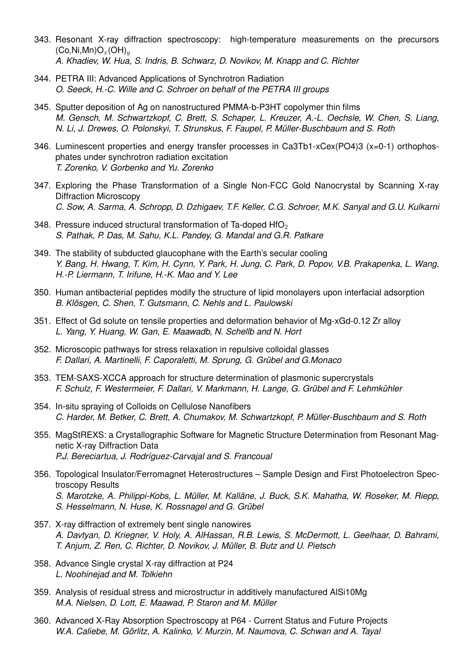- 343. Resonant X-ray diffraction spectroscopy: high-temperature measurements on the precursors  $(Co,Ni, Mn)O_x(OH)_y$ *A. Khadiev, W. Hua, S. Indris, B. Schwarz, D. Novikov, M. Knapp and C. Richter*
- 344. PETRA III: Advanced Applications of Synchrotron Radiation *O. Seeck, H.-C. Wille and C. Schroer on behalf of the PETRA III groups*
- 345. Sputter deposition of Ag on nanostructured PMMA-b-P3HT copolymer thin films *M. Gensch, M. Schwartzkopf, C. Brett, S. Schaper, L. Kreuzer, A.-L. Oechsle, W. Chen, S. Liang, N. Li, J. Drewes, O. Polonskyi, T. Strunskus, F. Faupel, P. Müller-Buschbaum and S. Roth*
- 346. Luminescent properties and energy transfer processes in Ca3Tb1-xCex(PO4)3 (x=0-1) orthophosphates under synchrotron radiation excitation *T. Zorenko, V. Gorbenko and Yu. Zorenko*
- 347. Exploring the Phase Transformation of a Single Non-FCC Gold Nanocrystal by Scanning X-ray Diffraction Microscopy *C. Sow, A. Sarma, A. Schropp, D. Dzhigaev, T.F. Keller, C.G. Schroer, M.K. Sanyal and G.U. Kulkarni*
- 348. Pressure induced structural transformation of Ta-doped HfO<sub>2</sub> *S. Pathak, P. Das, M. Sahu, K.L. Pandey, G. Mandal and G.R. Patkare*
- 349. The stability of subducted glaucophane with the Earth's secular cooling *Y. Bang, H. Hwang, T. Kim, H. Cynn, Y. Park, H. Jung, C. Park, D. Popov, V.B. Prakapenka, L. Wang, H.-P. Liermann, T. Irifune, H.-K. Mao and Y. Lee*
- 350. Human antibacterial peptides modify the structure of lipid monolayers upon interfacial adsorption *B. Klösgen, C. Shen, T. Gutsmann, C. Nehls and L. Paulowski*
- 351. Effect of Gd solute on tensile properties and deformation behavior of Mg-xGd-0.12 Zr alloy *L. Yang, Y. Huang, W. Gan, E. Maawadb, N. Schellb and N. Hort*
- 352. Microscopic pathways for stress relaxation in repulsive colloidal glasses *F. Dallari, A. Martinelli, F. Caporaletti, M. Sprung, G. Grübel and G.Monaco*
- 353. TEM-SAXS-XCCA approach for structure determination of plasmonic supercrystals *F. Schulz, F. Westermeier, F. Dallari, V. Markmann, H. Lange, G. Grübel and F. Lehmkühler*
- 354. In-situ spraying of Colloids on Cellulose Nanofibers *C. Harder, M. Betker, C. Brett, A. Chumakov, M. Schwartzkopf, P. Müller-Buschbaum and S. Roth*
- 355. MagStREXS: a Crystallographic Software for Magnetic Structure Determination from Resonant Magnetic X-ray Diffraction Data *P.J. Bereciartua, J. Rodríguez-Carvajal and S. Francoual*
- 356. Topological Insulator/Ferromagnet Heterostructures Sample Design and First Photoelectron Spectroscopy Results *S. Marotzke, A. Philippi-Kobs, L. Müller, M. Kalläne, J. Buck, S.K. Mahatha, W. Roseker, M. Riepp, S. Hesselmann, N. Huse, K. Rossnagel and G. Grübel*
- 357. X-ray diffraction of extremely bent single nanowires *A. Davtyan, D. Kriegner, V. Holy, A. AlHassan, R.B. Lewis, S. McDermott, L. Geelhaar, D. Bahrami, T. Anjum, Z. Ren, C. Richter, D. Novikov, J. Müller, B. Butz and U. Pietsch*
- 358. Advance Single crystal X-ray diffraction at P24 *L. Noohinejad and M. Tolkiehn*
- 359. Analysis of residual stress and microstructur in additively manufactured AlSi10Mg *M.A. Nielsen, D. Lott, E. Maawad, P. Staron and M. Müller*
- 360. Advanced X-Ray Absorption Spectroscopy at P64 Current Status and Future Projects *W.A. Caliebe, M. Görlitz, A. Kalinko, V. Murzin, M. Naumova, C. Schwan and A. Tayal*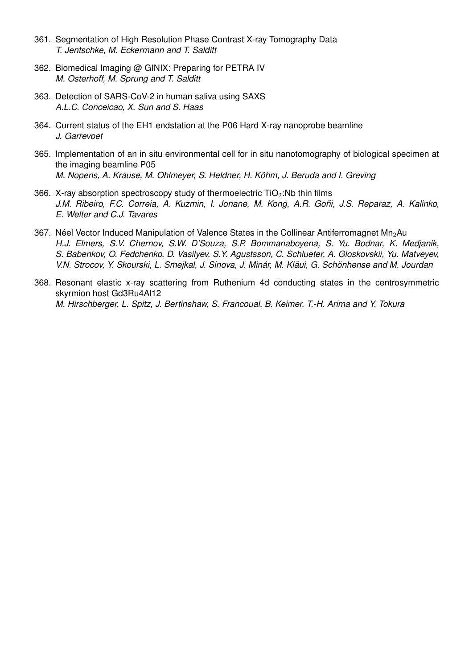- 361. Segmentation of High Resolution Phase Contrast X-ray Tomography Data *T. Jentschke, M. Eckermann and T. Salditt*
- 362. Biomedical Imaging @ GINIX: Preparing for PETRA IV *M. Osterhoff, M. Sprung and T. Salditt*
- 363. Detection of SARS-CoV-2 in human saliva using SAXS *A.L.C. Conceicao, X. Sun and S. Haas*
- 364. Current status of the EH1 endstation at the P06 Hard X-ray nanoprobe beamline *J. Garrevoet*
- 365. Implementation of an in situ environmental cell for in situ nanotomography of biological specimen at the imaging beamline P05 *M. Nopens, A. Krause, M. Ohlmeyer, S. Heldner, H. Köhm, J. Beruda and I. Greving*
- 366. X-ray absorption spectroscopy study of thermoelectric  $TiO<sub>2</sub>:Nb$  thin films *J.M. Ribeiro, F.C. Correia, A. Kuzmin, I. Jonane, M. Kong, A.R. Goñi, J.S. Reparaz, A. Kalinko, E. Welter and C.J. Tavares*
- 367. Néel Vector Induced Manipulation of Valence States in the Collinear Antiferromagnet Mn<sub>2</sub>Au *H.J. Elmers, S.V. Chernov, S.W. D'Souza, S.P. Bommanaboyena, S. Yu. Bodnar, K. Medjanik, S. Babenkov, O. Fedchenko, D. Vasilyev, S.Y. Agustsson, C. Schlueter, A. Gloskovskii, Yu. Matveyev, V.N. Strocov, Y. Skourski, L. Smejkal, J. Sinova, J. Minár, M. Kläui, G. Schönhense and M. Jourdan*
- 368. Resonant elastic x-ray scattering from Ruthenium 4d conducting states in the centrosymmetric skyrmion host Gd3Ru4Al12 *M. Hirschberger, L. Spitz, J. Bertinshaw, S. Francoual, B. Keimer, T.-H. Arima and Y. Tokura*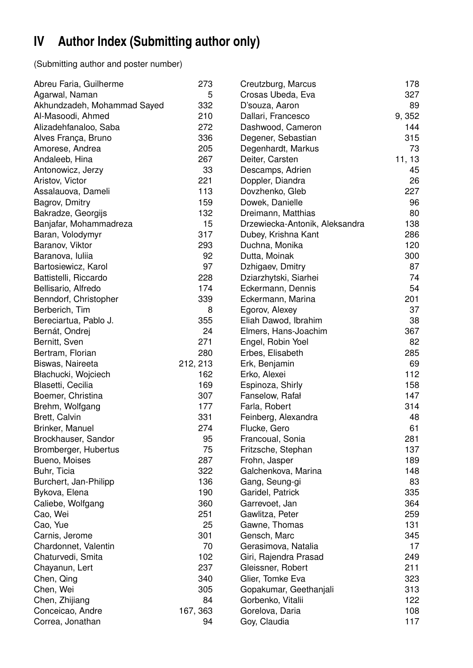# **IV Author Index (Submitting author only)**

(Submitting author and poster number)

| Abreu Faria, Guilherme      | 273      | Creutzburg, Marcus             | 178    |
|-----------------------------|----------|--------------------------------|--------|
| Agarwal, Naman              | 5        | Crosas Ubeda, Eva              | 327    |
| Akhundzadeh, Mohammad Sayed | 332      | D'souza, Aaron                 | 89     |
| Al-Masoodi, Ahmed           | 210      | Dallari, Francesco             | 9,352  |
| Alizadehfanaloo, Saba       | 272      | Dashwood, Cameron              | 144    |
| Alves França, Bruno         | 336      | Degener, Sebastian             | 315    |
| Amorese, Andrea             | 205      | Degenhardt, Markus             | 73     |
| Andaleeb, Hina              | 267      | Deiter, Carsten                | 11, 13 |
| Antonowicz, Jerzy           | 33       | Descamps, Adrien               | 45     |
| Aristov, Victor             | 221      | Doppler, Diandra               | 26     |
| Assalauova, Dameli          | 113      | Dovzhenko, Gleb                | 227    |
| Bagrov, Dmitry              | 159      | Dowek, Danielle                | 96     |
| Bakradze, Georgijs          | 132      | Dreimann, Matthias             | 80     |
| Banjafar, Mohammadreza      | 15       | Drzewiecka-Antonik, Aleksandra | 138    |
| Baran, Volodymyr            | 317      | Dubey, Krishna Kant            | 286    |
| Baranov, Viktor             | 293      | Duchna, Monika                 | 120    |
| Baranova, Iuliia            | 92       | Dutta, Moinak                  | 300    |
| Bartosiewicz, Karol         | 97       | Dzhigaev, Dmitry               | 87     |
| Battistelli, Riccardo       | 228      | Dziarzhytski, Siarhei          | 74     |
| Bellisario, Alfredo         | 174      | Eckermann, Dennis              | 54     |
| Benndorf, Christopher       | 339      | Eckermann, Marina              | 201    |
| Berberich, Tim              | 8        | Egorov, Alexey                 | 37     |
| Bereciartua, Pablo J.       | 355      | Eliah Dawod, Ibrahim           | 38     |
| Bernát, Ondrej              | 24       | Elmers, Hans-Joachim           | 367    |
| Bernitt, Sven               | 271      | Engel, Robin Yoel              | 82     |
| Bertram, Florian            | 280      | Erbes, Elisabeth               | 285    |
| Biswas, Naireeta            | 212, 213 | Erk, Benjamin                  | 69     |
| Błachucki, Wojciech         | 162      | Erko, Alexei                   | 112    |
| Blasetti, Cecilia           | 169      | Espinoza, Shirly               | 158    |
| Boemer, Christina           | 307      | Fanselow, Rafał                | 147    |
| Brehm, Wolfgang             | 177      | Farla, Robert                  | 314    |
| Brett, Calvin               | 331      | Feinberg, Alexandra            | 48     |
| Brinker, Manuel             | 274      | Flucke, Gero                   | 61     |
| Brockhauser, Sandor         | 95       | Francoual, Sonia               | 281    |
| Bromberger, Hubertus        | 75       | Fritzsche, Stephan             | 137    |
| Bueno, Moises               | 287      | Frohn, Jasper                  | 189    |
| Buhr, Ticia                 | 322      | Galchenkova, Marina            | 148    |
| Burchert, Jan-Philipp       | 136      | Gang, Seung-gi                 | 83     |
| Bykova, Elena               | 190      | Garidel, Patrick               | 335    |
| Caliebe, Wolfgang           | 360      | Garrevoet, Jan                 | 364    |
| Cao, Wei                    | 251      | Gawlitza, Peter                | 259    |
| Cao, Yue                    | 25       | Gawne, Thomas                  | 131    |
| Carnis, Jerome              | 301      | Gensch, Marc                   | 345    |
| Chardonnet, Valentin        | 70       | Gerasimova, Natalia            | 17     |
| Chaturvedi, Smita           | 102      | Giri, Rajendra Prasad          | 249    |
| Chayanun, Lert              | 237      | Gleissner, Robert              | 211    |
| Chen, Qing                  | 340      | Glier, Tomke Eva               | 323    |
| Chen, Wei                   | 305      | Gopakumar, Geethanjali         | 313    |
| Chen, Zhijiang              | 84       | Gorbenko, Vitalii              | 122    |
| Conceicao, Andre            | 167, 363 | Gorelova, Daria                | 108    |
| Correa, Jonathan            | 94       | Goy, Claudia                   | 117    |
|                             |          |                                |        |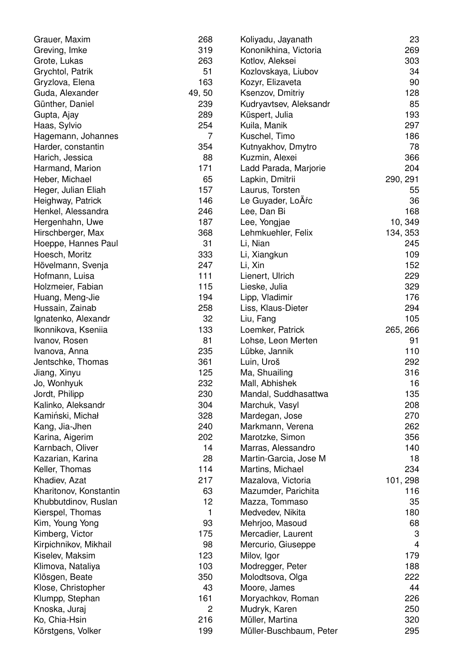| Grauer, Maxim          | 268   | Koliyadu, Jayanath      | 23       |
|------------------------|-------|-------------------------|----------|
| Greving, Imke          | 319   | Kononikhina, Victoria   | 269      |
| Grote, Lukas           | 263   | Kotlov, Aleksei         | 303      |
| Grychtol, Patrik       | 51    | Kozlovskaya, Liubov     | 34       |
| Gryzlova, Elena        | 163   | Kozyr, Elizaveta        | 90       |
| Guda, Alexander        | 49,50 | Ksenzov, Dmitriy        | 128      |
| Günther, Daniel        | 239   | Kudryavtsev, Aleksandr  | 85       |
| Gupta, Ajay            | 289   | Küspert, Julia          | 193      |
| Haas, Sylvio           | 254   | Kuila, Manik            | 297      |
| Hagemann, Johannes     | 7     | Kuschel, Timo           | 186      |
| Harder, constantin     | 354   | Kutnyakhov, Dmytro      | 78       |
| Harich, Jessica        | 88    | Kuzmin, Alexei          | 366      |
| Harmand, Marion        | 171   | Ladd Parada, Marjorie   | 204      |
| Heber, Michael         | 65    | Lapkin, Dmitrii         | 290, 291 |
| Heger, Julian Eliah    | 157   | Laurus, Torsten         | 55       |
| Heighway, Patrick      | 146   | Le Guyader, LoÃŕc       | 36       |
| Henkel, Alessandra     | 246   | Lee, Dan Bi             | 168      |
| Hergenhahn, Uwe        | 187   | Lee, Yongjae            | 10, 349  |
| Hirschberger, Max      | 368   | Lehmkuehler, Felix      | 134, 353 |
| Hoeppe, Hannes Paul    | 31    | Li, Nian                | 245      |
| Hoesch, Moritz         | 333   | Li, Xiangkun            | 109      |
| Hövelmann, Svenja      | 247   | Li, Xin                 | 152      |
| Hofmann, Luisa         | 111   | Lienert, Ulrich         | 229      |
| Holzmeier, Fabian      | 115   | Lieske, Julia           | 329      |
| Huang, Meng-Jie        | 194   | Lipp, Vladimir          | 176      |
| Hussain, Zainab        | 258   | Liss, Klaus-Dieter      | 294      |
| Ignatenko, Alexandr    | 32    | Liu, Fang               | 105      |
| Ikonnikova, Kseniia    | 133   | Loemker, Patrick        | 265, 266 |
| Ivanov, Rosen          | 81    | Lohse, Leon Merten      | 91       |
| Ivanova, Anna          | 235   | Lübke, Jannik           | 110      |
| Jentschke, Thomas      | 361   | Luin, Uroš              | 292      |
| Jiang, Xinyu           | 125   | Ma, Shuailing           | 316      |
| Jo, Wonhyuk            | 232   | Mall, Abhishek          | 16       |
| Jordt, Philipp         | 230   | Mandal, Suddhasattwa    | 135      |
| Kalinko, Aleksandr     | 304   | Marchuk, Vasyl          | 208      |
| Kamiński, Michał       | 328   | Mardegan, Jose          | 270      |
| Kang, Jia-Jhen         | 240   | Markmann, Verena        | 262      |
| Karina, Aigerim        | 202   | Marotzke, Simon         | 356      |
| Karnbach, Oliver       | 14    | Marras, Alessandro      | 140      |
| Kazarian, Karina       | 28    | Martin-Garcia, Jose M   | 18       |
| Keller, Thomas         | 114   | Martins, Michael        | 234      |
| Khadiev, Azat          | 217   | Mazalova, Victoria      | 101, 298 |
| Kharitonov, Konstantin | 63    | Mazumder, Parichita     | 116      |
| Khubbutdinov, Ruslan   | 12    | Mazza, Tommaso          | 35       |
| Kierspel, Thomas       | 1     | Medvedev, Nikita        | 180      |
| Kim, Young Yong        | 93    | Mehrjoo, Masoud         | 68       |
| Kimberg, Victor        | 175   | Mercadier, Laurent      | 3        |
| Kirpichnikov, Mikhail  | 98    | Mercurio, Giuseppe      | 4        |
| Kiselev, Maksim        | 123   | Milov, Igor             | 179      |
| Klimova, Nataliya      | 103   | Modregger, Peter        | 188      |
| Klösgen, Beate         | 350   | Molodtsova, Olga        | 222      |
| Klose, Christopher     | 43    | Moore, James            | 44       |
| Klumpp, Stephan        | 161   | Moryachkov, Roman       | 226      |
| Knoska, Juraj          | 2     | Mudryk, Karen           | 250      |
| Ko, Chia-Hsin          | 216   | Müller, Martina         | 320      |
| Körstgens, Volker      | 199   | Müller-Buschbaum, Peter | 295      |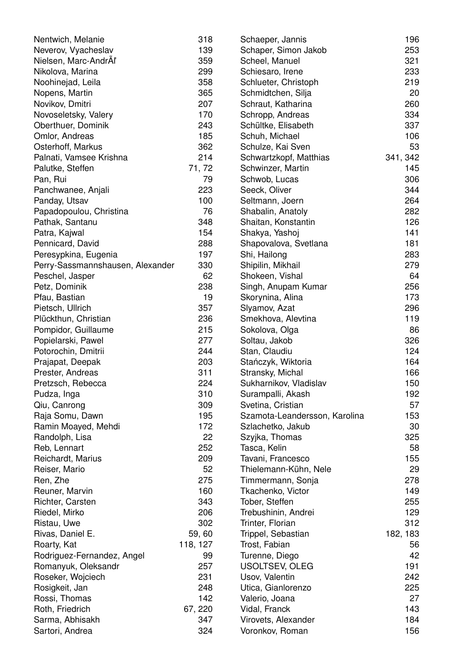| Nentwich, Melanie                | 318      | Schaeper, Jannis              | 196      |
|----------------------------------|----------|-------------------------------|----------|
| Neverov, Vyacheslav              | 139      | Schaper, Simon Jakob          | 253      |
| Nielsen, Marc-AndrAl'            | 359      | Scheel, Manuel                | 321      |
| Nikolova, Marina                 | 299      | Schiesaro, Irene              | 233      |
| Noohinejad, Leila                | 358      | Schlueter, Christoph          | 219      |
| Nopens, Martin                   | 365      | Schmidtchen, Silja            | 20       |
| Novikov, Dmitri                  | 207      | Schraut, Katharina            | 260      |
| Novoseletsky, Valery             | 170      | Schropp, Andreas              | 334      |
| Oberthuer, Dominik               | 243      | Schültke, Elisabeth           | 337      |
| Omlor, Andreas                   | 185      | Schuh, Michael                | 106      |
| Osterhoff, Markus                | 362      | Schulze, Kai Sven             | 53       |
| Palnati, Vamsee Krishna          | 214      | Schwartzkopf, Matthias        | 341, 342 |
| Palutke, Steffen                 | 71,72    | Schwinzer, Martin             | 145      |
| Pan, Rui                         | 79       | Schwob, Lucas                 | 306      |
| Panchwanee, Anjali               | 223      | Seeck, Oliver                 | 344      |
| Panday, Utsav                    | 100      | Seltmann, Joern               | 264      |
| Papadopoulou, Christina          | 76       | Shabalin, Anatoly             | 282      |
| Pathak, Santanu                  | 348      | Shaitan, Konstantin           | 126      |
| Patra, Kajwal                    | 154      | Shakya, Yashoj                | 141      |
| Pennicard, David                 | 288      | Shapovalova, Svetlana         | 181      |
| Peresypkina, Eugenia             | 197      | Shi, Hailong                  | 283      |
| Perry-Sassmannshausen, Alexander | 330      | Shipilin, Mikhail             | 279      |
| Peschel, Jasper                  | 62       | Shokeen, Vishal               | 64       |
| Petz, Dominik                    | 238      | Singh, Anupam Kumar           | 256      |
| Pfau, Bastian                    | 19       | Skorynina, Alina              | 173      |
| Pietsch, Ullrich                 | 357      | Slyamov, Azat                 | 296      |
| Plückthun, Christian             | 236      | Smekhova, Alevtina            | 119      |
| Pompidor, Guillaume              | 215      | Sokolova, Olga                | 86       |
| Popielarski, Pawel               | 277      | Soltau, Jakob                 | 326      |
| Potorochin, Dmitrii              | 244      | Stan, Claudiu                 | 124      |
| Prajapat, Deepak                 | 203      | Stańczyk, Wiktoria            | 164      |
| Prester, Andreas                 | 311      | Stransky, Michal              | 166      |
| Pretzsch, Rebecca                | 224      | Sukharnikov, Vladislav        | 150      |
| Pudza, Inga                      | 310      | Surampalli, Akash             | 192      |
| Qiu, Canrong                     | 309      | Svetina, Cristian             | 57       |
| Raja Somu, Dawn                  | 195      | Szamota-Leandersson, Karolina | 153      |
| Ramin Moayed, Mehdi              | 172      | Szlachetko, Jakub             | 30       |
| Randolph, Lisa                   | 22       | Szyjka, Thomas                | 325      |
| Reb, Lennart                     | 252      | Tasca, Kelin                  | 58       |
| Reichardt, Marius                | 209      | Tavani, Francesco             | 155      |
| Reiser, Mario                    | 52       | Thielemann-Kühn, Nele         | 29       |
| Ren, Zhe                         | 275      | Timmermann, Sonja             | 278      |
| Reuner, Marvin                   | 160      | Tkachenko, Victor             | 149      |
| Richter, Carsten                 | 343      | Tober, Steffen                | 255      |
| Riedel, Mirko                    | 206      | Trebushinin, Andrei           | 129      |
| Ristau, Uwe                      | 302      |                               | 312      |
|                                  |          | Trinter, Florian              |          |
| Rivas, Daniel E.                 | 59,60    | Trippel, Sebastian            | 182, 183 |
| Roarty, Kat                      | 118, 127 | Trost, Fabian                 | 56       |
| Rodriguez-Fernandez, Angel       | 99       | Turenne, Diego                | 42       |
| Romanyuk, Oleksandr              | 257      | USOLTSEV, OLEG                | 191      |
| Roseker, Wojciech                | 231      | Usov, Valentin                | 242      |
| Rosigkeit, Jan                   | 248      | Utica, Gianlorenzo            | 225      |
| Rossi, Thomas                    | 142      | Valerio, Joana                | 27       |
| Roth, Friedrich                  | 67, 220  | Vidal, Franck                 | 143      |
| Sarma, Abhisakh                  | 347      | Virovets, Alexander           | 184      |
| Sartori, Andrea                  | 324      | Voronkov, Roman               | 156      |